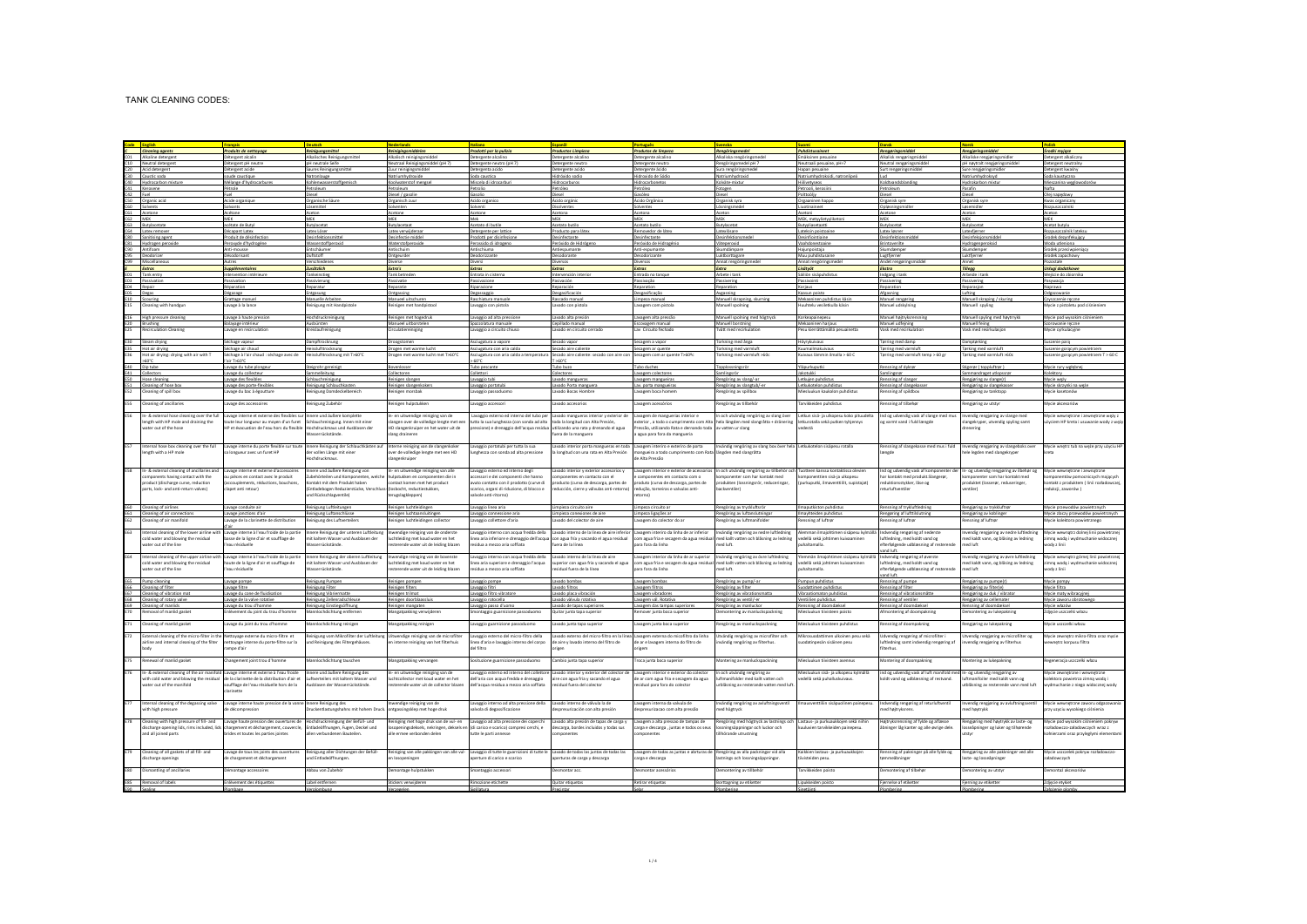|                   | <b>Cleaning agents</b>                                                                 | Produits de nettoyage                                                                                                            | Reinigungsmittel                                                                 | Reinigingsmiddelen                                                        | Prodotti per la pulizia                                                                                             | <b>Productos Limpieza</b>                                                           | Produtos de limpezo                                                             | Renaörinasmedel                                                                   | Puhdistusaineet                                                                                            | Renagringsmiddel                                                                 | Renaieringsmiddel                                                              | <b><i><u>Sradki</u></i></b> myjace                                         |
|-------------------|----------------------------------------------------------------------------------------|----------------------------------------------------------------------------------------------------------------------------------|----------------------------------------------------------------------------------|---------------------------------------------------------------------------|---------------------------------------------------------------------------------------------------------------------|-------------------------------------------------------------------------------------|---------------------------------------------------------------------------------|-----------------------------------------------------------------------------------|------------------------------------------------------------------------------------------------------------|----------------------------------------------------------------------------------|--------------------------------------------------------------------------------|----------------------------------------------------------------------------|
|                   | CD1 Alkaline detergent                                                                 | Détergent alcalin                                                                                                                | Alkalisches Reinigungsmittel                                                     | Alkalisch reinigingsmiddel                                                | Detergente alcalino                                                                                                 | Detergente alcalino                                                                 | Detergente alcalino                                                             | Alkaliska rengöringsmedel                                                         | Emäksinen pesuaine                                                                                         | Alkalisk rengøringmiddel                                                         | Alkaliske rengjøringsmidler                                                    | Detergent alkaliczny                                                       |
|                   | C10 Neutral detergent                                                                  | Détergent pH neutre                                                                                                              | pH neutrale Seife                                                                | Neutraal Reinigingsmiddel (pH 7)                                          | Detergente neutro (pH 7)                                                                                            | Detergente neutro                                                                   | Detergente neutro                                                               | Rengöringsmedel pH 7                                                              | Neutraali pesuaine, pH=7                                                                                   | Neutral rengøringsmiddel                                                         | pH nøytralt rengjøringsmiddel                                                  | Detergent neutralny                                                        |
|                   | Acid detergent<br>C30 Caustic soda                                                     | Détergent acide<br>soude caustique                                                                                               | Saures Reinigungsm<br>Natronlauge                                                | Zuur reinigingsmidde                                                      | Detergenta acido<br>soda caustica                                                                                   | Detergente acido<br>Hidróxido sodio                                                 | Detergente ácido<br>xido de Sódio                                               | Sura rengöringsmede                                                               | Hapan pesuaine                                                                                             | Surt rengøringsmidde                                                             | Sure rengjøringsmidle                                                          | Jetergent kwaśny<br>Soda kaustyczna                                        |
| C40               | Hydrocarbon mixtu                                                                      | Mélange d'hydrocarbur                                                                                                            | Kohlenwasserstoffg                                                               | Koolwaterstof mengse                                                      | Miscela di idrocarbu                                                                                                | Hidrocarburos                                                                       | Hidrocarbonetos                                                                 | Kolväte-mixtu                                                                     | Hillivetyseor                                                                                              | Koldtvandsblandin                                                                | Hydrokarbon mixtur                                                             | Mieszanina węglowodorów                                                    |
|                   | C41 Kerosene                                                                           | Pétrole                                                                                                                          | Petroleum                                                                        | Petroleum                                                                 | Petrolio                                                                                                            | Petróleo                                                                            | Petróleo                                                                        | Fotogen                                                                           | Petrooli, kerosiin                                                                                         | Petroleum                                                                        | Parafin                                                                        | Nafta                                                                      |
| C42 Fuel          |                                                                                        | Fuel                                                                                                                             | Diesel                                                                           | Diesel / gasolie                                                          | Gasolio                                                                                                             | Diesel                                                                              | Gasóleo                                                                         | Diesel                                                                            | Polttoöliv                                                                                                 | Diesel                                                                           | Diesel                                                                         | Olei napedowy                                                              |
|                   | C50 Organic acid                                                                       | Acide organiqu                                                                                                                   | Organische Säur                                                                  | Organisch zuur                                                            | Acido organico                                                                                                      | Ácido orgáni                                                                        | Ácido Orgânico                                                                  | Organisk syra                                                                     | Orgaaninen hap                                                                                             | Organisk syre                                                                    | Organisk syre                                                                  | Kwas organiczn                                                             |
|                   | C60 Solvents                                                                           | Solvants                                                                                                                         | Lösemittel                                                                       | Solventer                                                                 | iolventi                                                                                                            | Disolvente                                                                          | Solventes                                                                       | Lösningsmedi                                                                      | Liuotinainee                                                                                               | Opløsningsmid                                                                    | Løsemidle                                                                      | Rozpuszczalnik                                                             |
|                   | Acetone                                                                                | Acétone                                                                                                                          | Aceton                                                                           | Acetone                                                                   | <b>Acetone</b>                                                                                                      | Acetona                                                                             | Acetona                                                                         | Aceton                                                                            | Asetoni                                                                                                    | Acetone                                                                          | Aceton                                                                         | Aceton                                                                     |
| C62 MEK           |                                                                                        | <b>MEK</b>                                                                                                                       | <b>MFK</b>                                                                       | <b>MFK</b>                                                                | Mek                                                                                                                 | MEK                                                                                 | MEK.                                                                            | MEK                                                                               | MEK, metyylietyyliketo                                                                                     | <b>MFK</b>                                                                       | <b>MEK</b>                                                                     | <b>MEK</b>                                                                 |
|                   | C63 Butvlacetate<br>C64 Latex remover                                                  | acétate de Butvl                                                                                                                 | Butvlacetat                                                                      | Butvlacetaat                                                              | Acetato di butile                                                                                                   | Acetato butilo<br>Producto para láte:                                               | Acetato butilo                                                                  | Butvlacetat                                                                       | Butwliasetaatti                                                                                            | Butvlacetat                                                                      | Butvlacetat                                                                    | Acetat butvlu                                                              |
|                   | C80 Sanitising agent                                                                   | Décapant Latex<br>Produit de désinfection                                                                                        | Latex Löser<br>Desinfektionsmittel                                               | Latex verwijderaar<br>Desinfectie middel                                  | Detergente per lattice<br>Prodotti per disinfezione                                                                 | Desinfectante                                                                       | Removedor de láte<br>Desinfectante                                              | Latexiösare<br>Desinfektionsmede                                                  | Lateksin poistoain<br>Desinfiointiaine                                                                     | Latex Igsner<br>Desinfektionsm                                                   | Latexfjerner<br>Desinfeksjonsmidd                                              | Rozpuszczalnik lateks<br>Srodek dezynfekujący                              |
|                   | Hydrozen perce                                                                         | Peroxyde d'hydrozèr                                                                                                              | Wasserstoffperox                                                                 | Waterstofpero                                                             | erossido di idroee                                                                                                  | Peróxido de Hidróes                                                                 | Peráxido de Hidro                                                               | Väteperoxid                                                                       | Vaahdonestoain                                                                                             | Brintoverilti                                                                    | lvdroeenperaksi                                                                | Woda utleniona                                                             |
|                   | C90 Antifoan                                                                           | Anti-mousse                                                                                                                      | Entschäume                                                                       | Antischuim                                                                | Antischiuma                                                                                                         | Antiespumant                                                                        | Anti-espumante                                                                  | Skumdämpare                                                                       | Hajunpoistaja                                                                                              | Skumdæmpe                                                                        | Skumdemper                                                                     | Środek przeciwpienią                                                       |
|                   | C95 Deodorizer                                                                         | Désodorisant                                                                                                                     | Duftstoff                                                                        | Ontgeurder                                                                | Deodorizzante                                                                                                       | Desodorante                                                                         | Desodorizante                                                                   | Luktborttagare                                                                    | Muu puhdistusaine                                                                                          | Lugtfierner                                                                      | Luktfjerner                                                                    | Środek zapachowy                                                           |
|                   | C99 Miscellaneor                                                                       | Autres                                                                                                                           | Verschieder                                                                      | Diverse                                                                   | iversi                                                                                                              | Diversos                                                                            | <b>Diversos</b>                                                                 | Annat renaöring                                                                   | Annat rengöring                                                                                            | Andet rengør                                                                     | Annet                                                                          | Pozostałe                                                                  |
|                   | Extras                                                                                 | Supplémentaires                                                                                                                  | Zusätzlich                                                                       | Extra's                                                                   | Extras                                                                                                              | Extras                                                                              | Extras                                                                          | Extra                                                                             | Lisätyöt                                                                                                   | Ekstra                                                                           | Tillegg                                                                        | Usługi dodatkowe                                                           |
|                   | E01 Tank entry                                                                         | Intervention intérieu                                                                                                            | Tankeinstieg                                                                     | Tank betrede                                                              | Entrata in cister                                                                                                   | Intervención int                                                                    | Entrada no tangi                                                                | Arbete i tani                                                                     | Säiliön sisäpuhd                                                                                           | Indgang i tani                                                                   | Arbeide i tan                                                                  | Wejście do zbiornik                                                        |
|                   | E03 Passivation                                                                        | Passivation                                                                                                                      | Passivierung                                                                     | Passivatie                                                                | Passivazione                                                                                                        | Pasivación                                                                          | Passivação                                                                      | Passivering                                                                       | Passivointi                                                                                                | Passivering                                                                      | Passivering                                                                    | Pasywacia                                                                  |
| EOS Degas         | E04 Repair                                                                             | Réparation<br>Dégazage                                                                                                           | Reparatur<br>Entgasung                                                           | Reparatie<br>Ontgassing                                                   | Riparazione<br>Degassaggio                                                                                          | Reparación<br>Desgasificación                                                       | Reparation<br>Desgasificação                                                    | Reparation<br>Avgasning                                                           | Korjaus<br>Kaasun poisto                                                                                   | Reparation<br>Afgasning                                                          | Reparasjon<br>Lufting                                                          | Naprawa<br>Odgazowanie                                                     |
|                   | E10 Scouring                                                                           | Grattage manuel                                                                                                                  | Manuelle Arbeiten                                                                | Manueel uitschuren                                                        | Raschiatura manuale                                                                                                 | Rascado manual                                                                      | Limpeza manual                                                                  | Manuell skrapning, skurnin                                                        | Mekaaninen puhdistus käsir                                                                                 | Manuel rengoring                                                                 | Manuell skraping / skuri                                                       | Czyszczenie reczne                                                         |
| <b>E15</b>        | Cleaning with handgur                                                                  | Lavage à la lance                                                                                                                | Reinigung mit Handpistole                                                        | Reinigen met handpistool                                                  | avaggio con pistola                                                                                                 | Lavado con pistola                                                                  | avagem com pistola                                                              | Manuell spoining                                                                  | Huuhtelu vesiletkulla käsir                                                                                | Manuel udskylning                                                                | Manuell spyling                                                                | Mycie z pistoletu pod ciśnienien                                           |
|                   |                                                                                        |                                                                                                                                  |                                                                                  |                                                                           |                                                                                                                     |                                                                                     |                                                                                 |                                                                                   |                                                                                                            |                                                                                  |                                                                                |                                                                            |
| E16               | High pressure cleaning                                                                 | Lavage à haute pressio                                                                                                           | Hochdruckreinigung                                                               | Reinigen met hogedru                                                      | avaggio ad alta pressio                                                                                             | avado alta presió                                                                   | avagem alta pressã                                                              | Manuell spolning med högtryck                                                     | Korkeapainepesu                                                                                            | Manuel højtryksren                                                               | Manuell spyling med høytrrykl                                                  | Mycie pod wysokim ciśnien                                                  |
|                   | E20 Brushing                                                                           | Balavage intérieur                                                                                                               | Ausbürsten                                                                       | Manueel uitborsteler                                                      | pazzolatura manuale                                                                                                 | Cepillado manual                                                                    | Escovazem manua                                                                 | Manuell borstning                                                                 | Mekaaninen hariaus                                                                                         | Manuel udfeining                                                                 | Manuell feling                                                                 | Szorowanie reczne                                                          |
| <b>E25</b>        | <b>Recirculation Cleaning</b>                                                          | Lavage en recirculation                                                                                                          | Kreislaufreinigung                                                               | Circulatiereiniging                                                       | avaggio a circuito chiuso                                                                                           | Lavado en circuito cerrado                                                          | Lav Circuito fechado                                                            | Tvätt med recirkulation                                                           | Pesu kierrättämällä pesuainetta                                                                            | Vask med recirkulation                                                           | Vask med resirkulasion                                                         | Mycie cyrkulacyjne                                                         |
|                   | E30 Steam drying                                                                       |                                                                                                                                  |                                                                                  |                                                                           |                                                                                                                     |                                                                                     |                                                                                 |                                                                                   |                                                                                                            |                                                                                  |                                                                                |                                                                            |
|                   | E35 Hot air drying                                                                     | Séchage vapeur<br>Séchage air chaud                                                                                              | Dampftrocknung<br>Heisslufttrocknung                                             | Droogstomen<br>Drogen met warme lucht                                     | Asciugatura a vapore<br>Asciugatura con aria calda                                                                  | Secado vapor<br>Secado aire caliente                                                | Secagem a vapor<br>Secagem ar quente                                            | Torkning med ånga<br>Torkning med varmluft                                        | Höyrykuivaus<br>Kuumailmakuivaus                                                                           | Tørring med damp<br>Tørring med varmluft                                         | Damptprking<br>Tørking med varmluft                                            | Suszenie parą<br>Suszenie gorącym powietrzem                               |
| F36               | Hot air drying: drying with air with T                                                 | Séchage à l'air chaud : séchage avec de                                                                                          | Heisslufttrocknung mit T>60°C                                                    | Drogen met warme lucht met T>60°C                                         |                                                                                                                     | sciugatura con aria calda a temperatura Secado aire caliente: secado con aire con   | Secagem com ar quente T>60 <sup>t</sup>                                         | Torkning med varmluft >60c                                                        | Kuivaus lämmin ilmalla > 60 C                                                                              | Tørring med varmluft temp > 60 gr                                                | Tørking med varmluft >60c                                                      | szenie gorącym powietrzem T > 60 C                                         |
|                   | ma <sub>s</sub>                                                                        | Fair T>60°C                                                                                                                      |                                                                                  |                                                                           | 60°C                                                                                                                | ToAn'r                                                                              |                                                                                 |                                                                                   |                                                                                                            |                                                                                  |                                                                                |                                                                            |
|                   | E40 Dip tube                                                                           | Layage du tube plongeu                                                                                                           | Steigrohr gereinigt                                                              | Bovenlosser                                                               | Tubo pescante                                                                                                       | Tubo buzo                                                                           | Tubo duches                                                                     | Topplossningsrör                                                                  | Visiourkunutki                                                                                             | Rensning af dykrer                                                               | Stigerør ( toppluftrør )                                                       | Mycle rury wzłebnej                                                        |
|                   | E41 Collectors                                                                         | Lavage du collecteur                                                                                                             | Sammelleitung                                                                    | Collectoren                                                               | Collettori                                                                                                          | Colectores                                                                          | Lavagem colectores                                                              | Samlingsrör                                                                       | Jakotukki                                                                                                  | Samlingsrør                                                                      | Sammandraget utlopssrør                                                        | Kolektory                                                                  |
|                   | Hose cleaning                                                                          | Lavage des flexibles                                                                                                             | Schlauchreinigung                                                                | Reinigen slangen                                                          | avaggio tubi                                                                                                        | Lavado mangueras                                                                    | Lavagem mangueiras                                                              | Rengöring av slang/-ar                                                            | Letkujen puhdistus                                                                                         | tensning af slanger                                                              | Rengjøring av slange(r)                                                        | Mycie węży                                                                 |
| <b>ES1</b>        | Cleaning of hose bor                                                                   | Lavage des porte-flexible                                                                                                        | Reinigung Schlauchkaste                                                          | Reinigen slangenkolo                                                      | avaggio portatub                                                                                                    | Lavado Porta manguera                                                               | Lav. porta mangueiras                                                           | Rengöring av slangtub/-e                                                          | Letkukotelon puhdistus                                                                                     | Rensning af slangekasse                                                          | Rengjøring av slangekasse                                                      | Mycie skrzynki na węże                                                     |
| <b>ES2</b>        | <b>Ileaning of spill box</b>                                                           | avage du bac à égoutture                                                                                                         | einigung Domdeckelbereici                                                        | sinigen morsbal                                                           | vaggio passoduom                                                                                                    | avado Bocas Hombre                                                                  | avagem boca homen                                                               | Rengöring av spillbox                                                             | Miesluukun kaukalon puhdistus                                                                              | nsning af spildbo                                                                | engjøring av tanktopp                                                          | Mycie kasetonóv                                                            |
| <b>ESS</b>        | <b>Jeaning of ancillaries</b>                                                          | Layage des accessoires                                                                                                           | Reinigung Zubehör                                                                | teinigen hulpstukken                                                      | ivozezio accessori                                                                                                  | avado accesorios                                                                    | avagem acessórios                                                               | Rengöring av tillbehör                                                            | Tarvikkeiden puhdistus                                                                                     | lensning af tilbehør                                                             | tenziarinz av utstvr                                                           | Mycie akcesoriów                                                           |
|                   |                                                                                        |                                                                                                                                  |                                                                                  |                                                                           |                                                                                                                     |                                                                                     |                                                                                 |                                                                                   |                                                                                                            |                                                                                  |                                                                                |                                                                            |
| E56               | 1- & external hose cleaning over the fu                                                | Lavage interne et externe des flexibles sur                                                                                      | nnere und äußere komplett                                                        | - en uitwendige reiniging van de                                          | avaggio esterno ed interno del tubo per                                                                             | avado mangueras interior y exterior de                                              | avagem de manguerias interior e                                                 | och utvändig rengöring av slang över                                              | Letkun sisä- ja ulkopesu koko pituudelta                                                                   | Ind og udvendig vask af slange med mus                                           | wendig rengjøring av slange med                                                | Mycie wewnętrzne i zewnętrzne węży:                                        |
|                   | ength with HP mole and draining the                                                    | oute leur longueur au moyen d'un furet Schlauchreinigung. Innen mit einer                                                        |                                                                                  | langen over de volledige lengte met e                                     | stta la sua lunghezza (con sonda ad alta toda la longitud con Alta Presión,                                         |                                                                                     | sterior, a todo o cumprimento com Alta                                          | hela längden med slangråtta + dränering                                           | letkurotalla sekä putken tyhjennys                                                                         | og varmt vand i fuld længde                                                      | langekryper, utvendig spyling samt                                             | zyciem HP kreta i usuwanie wody z wę                                       |
|                   | vater out of the hose                                                                  | Pet évacuation de l'eau bors du flexible Hochdruckmaus und Ausblasen der                                                         |                                                                                  | HD slangenkruiner en het water uit de                                     | ressione) e drenaggio dell'acqua residua                                                                            | utilizando una rata y drenando el agua                                              | chot obnonneb e stsR obnstilitu ošaver <sup>s</sup>                             | av vatten ur slang                                                                | endesta                                                                                                    |                                                                                  | drenering                                                                      |                                                                            |
|                   |                                                                                        |                                                                                                                                  | Wasserrückstände.                                                                | slang draineren                                                           |                                                                                                                     | fuera de la manguera                                                                | agua para fora da mangueria                                                     |                                                                                   |                                                                                                            |                                                                                  |                                                                                |                                                                            |
|                   |                                                                                        |                                                                                                                                  |                                                                                  |                                                                           |                                                                                                                     |                                                                                     |                                                                                 |                                                                                   |                                                                                                            |                                                                                  |                                                                                |                                                                            |
| ES7               | nternal hose box cleaning over the full                                                | Lavage interne du porte flexible sur toute Innere Reinigung der Schlauchkästen auf                                               |                                                                                  | Interne reiniging van de slangenkoke                                      | avaggio portatubi per tutta la sua                                                                                  | Lavado interior porta mangueras en toda                                             | Lavagem interiro e exteriro de porta                                            | Invändig rengöring av slang box över hela Letkukotelon sisäpesu rotalla           |                                                                                                            | tensning af slangekasse med mus i fuld                                           | wendig rengjøring av slangeboks over                                           | Mycie wnętrz tub na węże przy użyciu H                                     |
|                   | ength with a HP mole                                                                   | a longueur avec un furet HP                                                                                                      | der vollen Länge mit einer<br>ochdruckmaus                                       | over de volledige lengte met een HD<br>langenkruipe                       | ighezza con sonda ad alta pressione                                                                                 | la longitud con una rata en Alta Presión                                            | nangueira a todo cumprimento com Rat<br>de Alta Pressão                         | längden med slangråtta                                                            |                                                                                                            |                                                                                  | ele legden med slangekrype                                                     |                                                                            |
|                   |                                                                                        |                                                                                                                                  |                                                                                  |                                                                           |                                                                                                                     |                                                                                     |                                                                                 |                                                                                   |                                                                                                            |                                                                                  |                                                                                |                                                                            |
| <b>E58</b>        | In- & external cleaning of ancillaries and                                             | Layage interne et externe d'accessoires                                                                                          | Innere und äußere Reinizung von                                                  | In- en uitwendige reiniging van alle                                      | avaggio esterno ed interno degli                                                                                    | Lavado interior y exterior accesorios y                                             | Lavagem interior e exterior de acessorios                                       | In och utvändig rengöring av tillbehör och Tuotteen kanssa kontaktissa olevien    |                                                                                                            | Ind og udvendig vask af komponenter der In- og utvendig rengiøring av ilbehør og |                                                                                | Mycie wewnetrzne i zewnatrzne                                              |
|                   | omponents having contact with the                                                      | u pièces en contact avec le produit                                                                                              | tubehörteilen und Komponenten, wel                                               | ilpstukken en componenten die in                                          | cessori e dei componenti che hanni                                                                                  | nponentes en contacto con el                                                        | componentes em contacto com o                                                   | mponenter som har kontakt med                                                     | componenttien sisä-ja ulkopesu                                                                             | r kontakt med produkt.Slangerør,                                                 | omponenter som har kontakt med                                                 | entów pomocniczych mającycł                                                |
|                   | roduct (discharge curve, reduction                                                     | couplements, réductions, bouchons,                                                                                               | Kontakt mit dem Produkt haber                                                    | ontact komen met het product                                              | uto contatto con il prodotto (curve di                                                                              | producto (curva de descarga, partes de                                              | iroduto (curva de descarga, partes de                                           | produkten (lossningsrör, reduceringar,                                            | (purkuputki, ilmaventtiilit, supistajat)                                                                   | eduktionsstykker, låse og                                                        | roduktet (losserør, reduseringer,                                              | ontakt z produktem (linii rozładowczej                                     |
|                   | arts lock- and anti-return valves)                                                     | lanet anti retourl                                                                                                               | (Entladebogen Reduzierstücke, Versch                                             | loshocht reductiestukken                                                  | carico, organi di riduzione, di blocco e                                                                            | educción, cierre y válvulas anti-retorno                                            | educão torneiras e valvulas anti-                                               | harkwentiler)                                                                     |                                                                                                            | eturluftventiler                                                                 | entiler)                                                                       | edukcji, zaworów)                                                          |
|                   |                                                                                        |                                                                                                                                  | und Rückschlagventile)                                                           | terugslagkleppen)                                                         | alvole anti-ritorno)                                                                                                |                                                                                     | etorno)                                                                         |                                                                                   |                                                                                                            |                                                                                  |                                                                                |                                                                            |
|                   |                                                                                        |                                                                                                                                  |                                                                                  |                                                                           |                                                                                                                     |                                                                                     |                                                                                 |                                                                                   |                                                                                                            |                                                                                  |                                                                                |                                                                            |
| E61               | E60 Cleaning of airlines<br>Cleaning of air connection                                 | Lavage conduite air<br>Lavage jonctions d'ai                                                                                     | Reinigung Luftleitungen<br>Reinigung Luftanschlüsse                              | Reinigen luchtleidingen<br>Reinigen luchtaansluitinge                     | avaeelo linea aria<br>waggio connessione aria                                                                       | Limpieza circuito aire<br>Limpieza conexiones de air                                | Limpeza circuito ar<br>impeza ligações a                                        | Reneöring av trvckluftsrör<br>Rengöring av luftanslutninga                        | Ilmaputkiston puhdistus<br>Ilmayhteiden puhdistu                                                           | Rensning af trykluftledning<br>Rengøring af lufttilslutnin                       | Renzierinz av trvkkluftrer<br>Rengjøring av koblinge                           | Mycie przewodów powietrznych<br>Mycie zlaczy przewodów powietrznych        |
| EG2               | Ieaning of air manifold                                                                | avage de la clarinette de distribution                                                                                           | Reinigung des Luftverteilers                                                     | leinigen luchtleidingen collector                                         | waggio collettore d'aria                                                                                            | Lavado del colector de aire                                                         | avagem do colector do ar                                                        | lengöring av luftmanifolder                                                       | lensning af luftrør                                                                                        | ensning af luftrør                                                               | ensning af luftrør                                                             | Mycie kolektora powietrznego                                               |
|                   |                                                                                        |                                                                                                                                  |                                                                                  |                                                                           |                                                                                                                     |                                                                                     |                                                                                 |                                                                                   |                                                                                                            |                                                                                  |                                                                                |                                                                            |
| E63               | Internal cleaning of the lower airline with Layage interne à l'eau froide de la partie |                                                                                                                                  | Innere Reinigung der unteren Luftleitung                                         | Inwendige reiniging van de onderste                                       |                                                                                                                     | avaggio interno con acqua fredda della lavado interno de la línea de aire inferior  | Lavagem interiro da linha de ar inferior                                        | Invändig rengöring av nedre luftledning                                           | Alemman ilmaiohtimen sisäpesu kylmällä lindvendig rengering af nederste                                    |                                                                                  | wendig rengiøring av nedre luftledning                                         | Mycie wewnatrz dolnej linii powietrzne                                     |
|                   | cold water and blowing the residual                                                    | basse de la ligne d'air et soufflage de                                                                                          | mit kaltem Wasser und Ausblasen der                                              | uchtleiding met koud water en het                                         |                                                                                                                     | nea aria inferiore e drenaggio dell'acqua con agua fría y sacando el agua residual  | com agua fria e secagem da agua residual                                        | med kallt vatten och blåsning av ledning                                          | vedellä sekä johtimen kuivaaminen                                                                          | ftledning, med koldt vand og                                                     | ned kaldt vann, og blåsing av ledning                                          | imną wodą i wydmuchanie widocznej                                          |
|                   | rater out of the line                                                                  | eau résiduelle                                                                                                                   | Vasserrückstände                                                                 | terende water uit de leiding blazen                                       | sidua a mezzo aria soffiata                                                                                         | fuera de la linea                                                                   | ara fora da linha                                                               | med luft.                                                                         | uhaltamalla.                                                                                               | fterfølgende udblæsning af resterende                                            | ned luft                                                                       | ody z linii                                                                |
|                   |                                                                                        |                                                                                                                                  |                                                                                  |                                                                           |                                                                                                                     |                                                                                     |                                                                                 |                                                                                   |                                                                                                            | nd luft.                                                                         |                                                                                |                                                                            |
| E64               | cold water and blowing the residual                                                    | Internal cleaning of the upper airline with Layage interne à l'eau froide de la partie<br>aute de la ligne d'air et soufflage de | Innere Reinigung der oberen Luftleitung<br>mit kaltern Wasser und Ausblasen der  | Inwendige reiniging van de bovenste<br>luchtleiding met koud water en het | avaggio interno con acqua fredda della Lavado interno de la línea de aire<br>nea aria superiore e drenaggio l'acqua | uperior con agua fria y sacando el agua                                             | Lavagem interior da linha de ar superior invändig rengöring av övre luftledning | com agua fria e secagem da agua residual med kallt vatten och blåsning av ledning | Ylemmän ilmaiohtimen sisäpesu kylmällä Indvendig rengering af everste<br>vedellä sekä johtimen kuivaaminen | ftledning, med koldt vand og                                                     | wendig rengjøring av øvre luftledning<br>ned kaldt vann, og blåsing av ledning | Mycie wewnątrz górnej linii powietrzne<br>mną wodą i wydmuchanie widocznej |
|                   | ater out of the line                                                                   | l'eau résiduelle                                                                                                                 | asserrückstände                                                                  | esterende water uit de leiding blazen                                     | sidua a mezzo aria soffiata                                                                                         | esidual fuera de la línea                                                           | para fora da linha                                                              | med luft.                                                                         | puhaltamalla.                                                                                              | fterfølgende udblæsning af resterende                                            | hed luft                                                                       | vody z linii                                                               |
|                   |                                                                                        |                                                                                                                                  |                                                                                  |                                                                           |                                                                                                                     |                                                                                     |                                                                                 |                                                                                   |                                                                                                            | and luft                                                                         |                                                                                |                                                                            |
| <b>E65</b>        | Pump cleaning                                                                          | Lavage pompe                                                                                                                     | Reinigung Pumpen                                                                 | Reinigen pomper                                                           | avaggio pompe                                                                                                       | Lavado bombas                                                                       | Lavagem bombas                                                                  | Rengöring av pump/-ar                                                             | Pumpun puhdistus                                                                                           | Rensning af pumpe                                                                | Rengjøring av pumpe(r)                                                         | Mycie pompy                                                                |
| <b>E66</b>        | Cleaning of filter                                                                     | Layage filtre                                                                                                                    | Reinigung Filter                                                                 | Reinigen filters                                                          | avaggio filtri                                                                                                      | Lavado filtros                                                                      | Lavagem filtros                                                                 | Reneöring av filter                                                               | Suodattimen puhdistus                                                                                      | Rensning af filter                                                               | Renziering av filter(e)                                                        | Mycie filtra                                                               |
| E67               | Cleaning of vibration ma                                                               | Layage du cone de fluidisatio                                                                                                    | Reinigung Vibriermatte                                                           | Reinigen trilmat                                                          | avaggio filtro vibrator                                                                                             | Lavado placa vibración                                                              | Lavagem vibradores                                                              | Rengöring av vibrationsmat                                                        | Vibraatiomaton puhdistu                                                                                    | Rensning af vibrationsmå                                                         | Renzierinz av duk / vibrato                                                    | Mycle maty wibracyinei                                                     |
| E68               | Cleaning of rotary valve                                                               | Lavage de la valve rotative                                                                                                      | Reinigung Zellenradschleuse                                                      | nigen doorblaasslui                                                       | avaggio rotocella                                                                                                   | avado vàlvula rotativa                                                              | Lavagem vál. Rotativa                                                           | Rengöring av ventil/-er                                                           | Ventillen puhdistus                                                                                        | Rensning af ventiler                                                             | tengjøring av cellemater                                                       | Mycie zaworu obrotowego                                                    |
| E69<br><b>F70</b> | Cleaning of manlid:                                                                    | Lavage du trou d'homme                                                                                                           | Reinigung Einstiegsöffnung                                                       | Reinigen mangater                                                         | avaggio passo d'uomi                                                                                                | Lavado de tapas superiore                                                           | Lavagem das tampas superiores                                                   | Rengöring av manluckor                                                            | Rensning af doomdækse                                                                                      | Rensning af doomdækse                                                            | tensning af doomdækse                                                          | Mycle włazów                                                               |
|                   | emoval of manlid gasks                                                                 | nlèvement du joint du trou d'homme                                                                                               | Mannlochdichtung entferner                                                       | Mangatpakking verwijdere                                                  | nontaggio guarnizione passoduomo                                                                                    | Quitar junta tapa superio                                                           | nover junta boca superio                                                        | nontering av manluckspackning                                                     | Miesluukun tiivisteen pois                                                                                 | montering af doompakning                                                         | nontering av lukepakning                                                       | djęcie uszczelki włazu                                                     |
| F71               | Cleaning of manlid gasket                                                              | Lavage du joint du trou d'homme                                                                                                  | Mannlochdichtung reinigen                                                        | Mangatpakking reiniger                                                    | avaggio guarnizione passoduomo                                                                                      | Lavado junta tapa superior                                                          | avagem junta boca superior                                                      | Rengöring av manluckspackning                                                     | Miesluukun tiivisteen puhdistus                                                                            | tensning af doompakning                                                          | Rengjøring av lukepakning                                                      | Mycie uszczelki włazu                                                      |
|                   |                                                                                        |                                                                                                                                  |                                                                                  |                                                                           |                                                                                                                     |                                                                                     |                                                                                 |                                                                                   |                                                                                                            |                                                                                  |                                                                                |                                                                            |
| E72               | External cleaning of the micro-filter in the Nettoyage externe du micro-filtre et      |                                                                                                                                  | Reinigung vom Mikrofilter der Luftleitung Ultwendige reiniging van de microfilte |                                                                           | avaggio esterno del micro-filtro della                                                                              | Lavado externo del micro-filtro en la línea Lavagem externa do micofiltro da linha  |                                                                                 | Utvändig rengöring av microfilter och                                             | Mikrosuodattimen ulkoinen pesu sekä                                                                        | Udvendig rengøring af microfilter i                                              | Itvendig rengjøring av microfilter og                                          | Mycie zewnętrz mikro-filtra oraz mycie                                     |
|                   | irline and internal cleaning of the filter                                             | nettoyage interne du porte-filtre sur la                                                                                         | nd Reinigung des Filtergehäuses                                                  | en interne reiniging van het filterhuis                                   | nea d'aria e lavaggio interno del corpo                                                                             | de aire y lavado interno del filtro de                                              | de ar e lavagem interna do filtro de                                            | wändig rengöring av filterhus.                                                    | iodatinpesän sisäinen pesu                                                                                 | uftledning samt indvendig rengøring af                                           | wendig rengjøring av filterhus                                                 | wnętrz korpusu filtra                                                      |
|                   | andy                                                                                   | rampe d'air                                                                                                                      |                                                                                  |                                                                           | ovilà let                                                                                                           | orizen                                                                              | tripem                                                                          |                                                                                   |                                                                                                            | Sudarbit                                                                         |                                                                                |                                                                            |
| E75               | tenewal of manlid gasket                                                               |                                                                                                                                  | Mannlochdichtung tauschen                                                        |                                                                           |                                                                                                                     |                                                                                     |                                                                                 |                                                                                   | Miesluukun tiivisteen asennus                                                                              |                                                                                  |                                                                                |                                                                            |
|                   |                                                                                        | Changement joint trou d'homme                                                                                                    |                                                                                  | Mangatpakking vervangen                                                   | osituzione guarnizione passoduomo                                                                                   | Cambio junta tapa superior                                                          | roca junta boca superior                                                        | Montering av manluckspackning                                                     |                                                                                                            | fontering af doompakning                                                         | Montering av lukepakning                                                       | egeneracja uszczelki włazu                                                 |
| F76               | n- & external cleaning of the air manifold Lavage interne et externe à l'eau froide    |                                                                                                                                  | Innere und äußere Reinigung des                                                  | - en uitwendige reiniging van de                                          |                                                                                                                     | vaggio esterno ed interno del collettore Lavado interior y exterior del colector de | wagem interior e exterior do colector                                           | In och utvändig rengöring av                                                      | Miesluukun sisä- ja ulkopesu kylmällä                                                                      | ind og udvendig vask af luft manifold med In- og utvendig rengjøring av          |                                                                                | Aycie zewnętrzne i wewnętrzn                                               |
|                   | with cold water and blowing the residual de la clarinette de la distribution d'air et  |                                                                                                                                  | Luftverteilers mit kaltem Wasser und                                             | uchtcollector met koud water en het                                       | ell'aria con acqua fredda e drenazgio                                                                               | aire con agua fria y sacando el agua                                                | de ar com agua fria e secagem da agua                                           | luftmanifolder med kallt vatten och                                               | edellä sekä puhalluskuivaus.                                                                               | ioldt vand og udblæsning af restvand.                                            | luftmanifolier med kaldt vann op                                               | slektora powietrza zimna woda i                                            |
|                   | water out of the manifold                                                              | soufflage de l'eau résiduelle hors de la                                                                                         | lusblasen der Wasserrückstände.                                                  | sterende water uit de collector blazer                                    | fell'acqua residua a mezzo aria soffiata                                                                            | esidual fuera del colector                                                          | esidual para fora do colector                                                   | urblåsning av resterande vatten med lu                                            |                                                                                                            |                                                                                  | tblåsning av resterende vann med luft                                          | ydmuchanie z niego widocznej wody                                          |
|                   |                                                                                        | clarinette                                                                                                                       |                                                                                  |                                                                           |                                                                                                                     |                                                                                     |                                                                                 |                                                                                   |                                                                                                            |                                                                                  |                                                                                |                                                                            |
|                   |                                                                                        |                                                                                                                                  |                                                                                  |                                                                           |                                                                                                                     |                                                                                     |                                                                                 |                                                                                   |                                                                                                            |                                                                                  |                                                                                |                                                                            |
| F77               | Internal cleaning of the degassing valve                                               | Lavage interne haute pression de la vanne Innere Reinigung des                                                                   |                                                                                  | Inwendige reiniging van de                                                | avaggio interno ad alta pressione della Lavado interno de válvula la de                                             |                                                                                     | Lavagem interna da valvula de                                                   | Invändig rengöring av avluftningsventil                                           | Ilmausventtiliin sisäpuolinen painepesu.                                                                   | Indvendig rengøring af returluftventil                                           | Invendig rengjøring av avluftningsventil                                       | Mycie wewnętrzne zaworu odgazowani                                         |
|                   | with high pressure                                                                     | de décompression                                                                                                                 | Druckentlastungshahns mit hohem Druck                                            | ontgassingsklep met hoge druk                                             | alvola di degassificazione                                                                                          | despresurización con alta presión                                                   | despresurização com alta pressão                                                | med högtryck                                                                      |                                                                                                            | ned højtryksrens.                                                                | ned høytrykk                                                                   | rzy uzyciu wysokiego ciśnienia                                             |
| E78               | leaning with high pressure of fill- and                                                | Lavage haute pression des ouvertures de Hochdruckreinigung der Befüll- und                                                       |                                                                                  | iniging met hoge druk van de vul- en                                      | avaggio ad alta pressione dei coperchi                                                                              | avado alta presión de tapas de carga y                                              | avagem a alta pressao de tampas de                                              | engöring med högtryck av lastnings och                                            | Lastaus- ja purkuaukkojen sekä niihin                                                                      | iøjtryksrensning af fylde og aflæsse                                             | engjøring med høytrykk av laste- og                                            | Mycie pod wysokim ciśnieniem pokryw                                        |
|                   | ischarge opening lids, rims included, li                                               | chargement et déchargement, couvercle, Entladeöffnungen, Fugen, Deckel und                                                       |                                                                                  | openingsdeksels, nekringen, deksels                                       | li carico e scarico) compresi cerchi, e                                                                             | descarga, bordes incluidos y todas sus                                              | carga e descarga , juntas e todos os seus                                       | ssningsöppningar och luckor och                                                   | uuluvien tarvikkeiden painepesu.                                                                           | ninger låg kanter og alle øvrige dele                                            | sseåpninger og luker og tilhørende                                             | dadowczo-załadowczych wraz z                                               |
|                   | and all joined parts                                                                   | brides et toutes les parties jointes                                                                                             | illen verbundenen Bauteilen                                                      | alle ermee verbonden delen                                                | tte le parti annesse                                                                                                |                                                                                     | nponentes                                                                       | illhörande utrustning                                                             |                                                                                                            |                                                                                  | tcha                                                                           | hierzami oraz przyległymi ele                                              |
|                   |                                                                                        |                                                                                                                                  |                                                                                  |                                                                           |                                                                                                                     |                                                                                     |                                                                                 |                                                                                   |                                                                                                            |                                                                                  |                                                                                |                                                                            |
|                   |                                                                                        |                                                                                                                                  |                                                                                  |                                                                           |                                                                                                                     |                                                                                     |                                                                                 |                                                                                   |                                                                                                            |                                                                                  |                                                                                |                                                                            |
| E79               | Cleaning of all gaskets of all fill- and                                               | Lavage de tous les joints des ouvertures                                                                                         | Reinigung aller Dichtungen der Befüll                                            | Reiniging van alle pakkingen van alle vul                                 | avaggio di tutte le guarnizioni di tutte le Lavado de todas las juntas de todas las                                 |                                                                                     | Lavagem de todas as juntas e abrturas de Rengöring av alla packningar vid alla  |                                                                                   | Kaikkien lastaus- ja purkuaukkoje                                                                          | ensning af pakninger på alle fylde og                                            | Rengjøring av alle pakkninger ved alle                                         | Mycie uszczelek pokryw rozładowczo                                         |
|                   | scharge openings                                                                       | e chargement et déchargement                                                                                                     | nd Entladeöffnungen                                                              | losopeninger                                                              | perture di carico e scarico                                                                                         | perturas de carga y descarga                                                        | carga e descarga                                                                | stnings och lossningsöppningar.                                                   | visteiden pesu.                                                                                            | eåbninger                                                                        | ste- og losseåpninger                                                          | dowczych                                                                   |
| <b>E80</b>        |                                                                                        |                                                                                                                                  | Abbau von Zubehör                                                                |                                                                           |                                                                                                                     |                                                                                     |                                                                                 |                                                                                   |                                                                                                            |                                                                                  |                                                                                |                                                                            |
|                   | Dismantling of ancillarie                                                              | Démontage accessoires                                                                                                            |                                                                                  | Demontage hulpstukker                                                     | mantaggio accessori                                                                                                 | Desmontar acc.                                                                      | Desmontar acessórios                                                            | Demontering av tillbehör                                                          | Tarvikkeiden poisto                                                                                        | Jemontering af tilbehø                                                           | lemontering av utstyr                                                          | emontaż akcesoriów                                                         |
|                   | Removal of labels                                                                      | Enlèvement des étiquettes                                                                                                        | Label entfernen                                                                  | Stickers verwijderen                                                      | timozione etichette                                                                                                 | Quitar etiquetas                                                                    | Retirar etiquetas                                                               | Borttagning av etiketter                                                          | Lipukkeiden poisto                                                                                         | Fjernelse af etiketter                                                           | Fjerning av etiketter                                                          | Zdjęcie etykiet                                                            |
| E85<br>E90        |                                                                                        |                                                                                                                                  |                                                                                  |                                                                           |                                                                                                                     |                                                                                     |                                                                                 |                                                                                   |                                                                                                            |                                                                                  |                                                                                |                                                                            |
|                   |                                                                                        |                                                                                                                                  |                                                                                  |                                                                           |                                                                                                                     |                                                                                     |                                                                                 |                                                                                   |                                                                                                            |                                                                                  |                                                                                |                                                                            |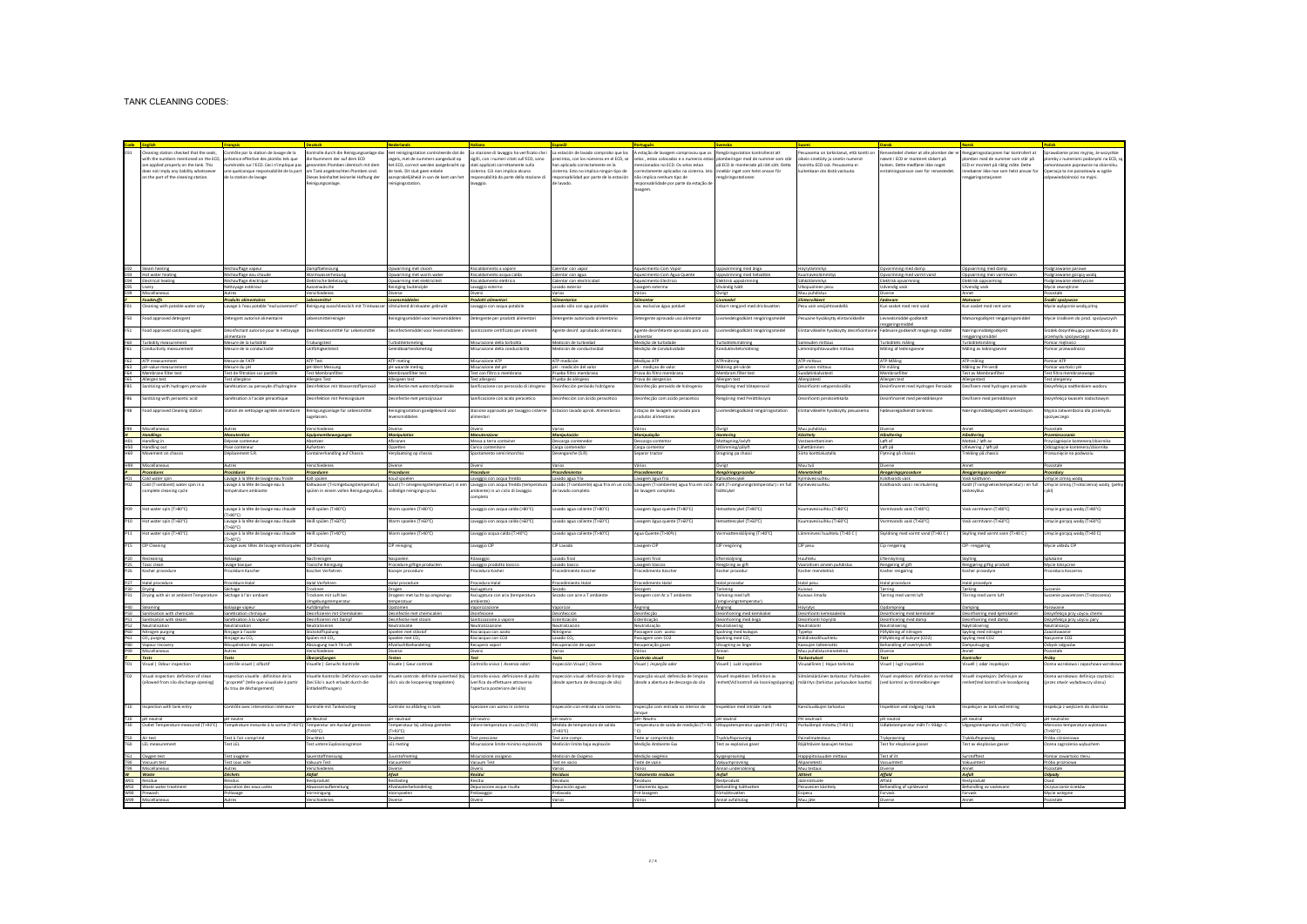|                 | Cleaning station checked that the seals,   | Contrôle par la station de lavage de la  | ontrolle durch die Reinigungsanlage da                                                                                                           |                                            |                                             |                                                                                      | Het reinigingstation controleerde dat de La stazione di lavaggio ha verificato che i La estación de lavado comprobo que los A estação de lavagem comprovou que os Rengöringsstation kontrollerat att |                                          | uasema on tarkistanut, että kontti or     |                                        | sestedet cheker at alle plomber der er Rengjøringsstasjonen har kontrollert at | orawdzenie przez myjnię, że wszystkie |
|-----------------|--------------------------------------------|------------------------------------------|--------------------------------------------------------------------------------------------------------------------------------------------------|--------------------------------------------|---------------------------------------------|--------------------------------------------------------------------------------------|------------------------------------------------------------------------------------------------------------------------------------------------------------------------------------------------------|------------------------------------------|-------------------------------------------|----------------------------------------|--------------------------------------------------------------------------------|---------------------------------------|
|                 | with the numbers mentioned on the ECD      | présence effective des plombs tels que   | die Nummern der auf dem ECD                                                                                                                      | egels, met de nummers aangeduid op         | sigilli, con i numeri citati sull'ECD, sono | precintos, con los números en el ECD, se                                             | selos , estao colocados e o numeros estao plomberingar med de nummer som står                                                                                                                        |                                          | oikein sinetöity ja sinetin numerot       | avnt i ECD er monteret sikkert på      | slomber med de nummer som står på                                              | omby z numerami podanymi na ECD, s    |
|                 | are applied properly on the tank. This     | térotés sur l'ECD. Ceci n'implique pa    | nnten Plomben identisch mit den                                                                                                                  | et ECD, correct werden aangebracht op      | sti applicati correttamente sulla           | in aplicado correctamente en la                                                      | encionados no ECD. Os selos estao                                                                                                                                                                    | på ECD är monterade på rätt sätt. Detta  | nainittu ECD:ssä. Pesuasema ei            | ken. Dette medfører ikke noget         | CD er montert på riktig måte. Dette                                            | ntowane poprawnie na zbiorniku        |
|                 | does not imply any liability whatsoever    | ine quelconque responsabilité de la part | am Tank angebrachten Plomben sind.                                                                                                               | de tank Dit sluit geen enkele              | isterna. Ciò non implica alcuna             | sterna. Esto no implica ningún tipo de                                               | orrectamente aplicados na cisterna, isto                                                                                                                                                             | innebär inget som helst ansvar för       | kultenkaan ota tästä vastuuta             | statningsansvar over for rensestedet   | toebærer ikke noe som helst ansvar fo                                          | loeracja ta nie pozostawia w ogóle    |
|                 | on the part of the cleaning station.       | de la station de lavage                  | Dieses beinhaltet keinerlei Haftung der                                                                                                          | aansprakelijkheid in van de kant van het   | sponsabilità da parte della stazione di     | responsabilidad por parte de la estación                                             | não implica nenhum tipo de                                                                                                                                                                           | renzörinzsstationen                      |                                           |                                        | engidringsstasionen                                                            | doowiedzialności na myini.            |
|                 |                                            |                                          | Reinigungsanlage.                                                                                                                                | inigingsstation.                           | raggio.                                     | e lavado.                                                                            | esponsabilidade por parte da estação di                                                                                                                                                              |                                          |                                           |                                        |                                                                                |                                       |
|                 |                                            |                                          |                                                                                                                                                  |                                            |                                             |                                                                                      | wagen                                                                                                                                                                                                |                                          |                                           |                                        |                                                                                |                                       |
|                 |                                            |                                          |                                                                                                                                                  |                                            |                                             |                                                                                      |                                                                                                                                                                                                      |                                          |                                           |                                        |                                                                                |                                       |
|                 |                                            |                                          |                                                                                                                                                  |                                            |                                             |                                                                                      |                                                                                                                                                                                                      |                                          |                                           |                                        |                                                                                |                                       |
|                 |                                            |                                          |                                                                                                                                                  |                                            |                                             |                                                                                      |                                                                                                                                                                                                      |                                          |                                           |                                        |                                                                                |                                       |
|                 |                                            |                                          |                                                                                                                                                  |                                            |                                             |                                                                                      |                                                                                                                                                                                                      |                                          |                                           |                                        |                                                                                |                                       |
|                 |                                            |                                          |                                                                                                                                                  |                                            |                                             |                                                                                      |                                                                                                                                                                                                      |                                          |                                           |                                        |                                                                                |                                       |
|                 |                                            |                                          |                                                                                                                                                  |                                            |                                             |                                                                                      |                                                                                                                                                                                                      |                                          |                                           |                                        |                                                                                |                                       |
|                 |                                            |                                          |                                                                                                                                                  |                                            |                                             |                                                                                      |                                                                                                                                                                                                      |                                          |                                           |                                        |                                                                                |                                       |
|                 |                                            |                                          |                                                                                                                                                  |                                            |                                             |                                                                                      |                                                                                                                                                                                                      |                                          |                                           |                                        |                                                                                |                                       |
|                 |                                            |                                          |                                                                                                                                                  |                                            |                                             |                                                                                      |                                                                                                                                                                                                      |                                          |                                           |                                        |                                                                                |                                       |
|                 |                                            |                                          |                                                                                                                                                  |                                            |                                             |                                                                                      |                                                                                                                                                                                                      |                                          |                                           |                                        |                                                                                |                                       |
|                 |                                            |                                          |                                                                                                                                                  |                                            |                                             |                                                                                      |                                                                                                                                                                                                      |                                          |                                           |                                        |                                                                                |                                       |
|                 |                                            |                                          |                                                                                                                                                  |                                            |                                             |                                                                                      |                                                                                                                                                                                                      |                                          |                                           |                                        |                                                                                |                                       |
|                 | E92 Steam heating                          | Réchauffage vapeur                       | Dampfbeheizung                                                                                                                                   | Opwarming met stoom                        | Riscaldamento a vapore                      | Calentar con vapor                                                                   | Aquecimento Com Vapor                                                                                                                                                                                | Uppyärmning med ånga                     | Hövrylämmitys                             | Opyarmning med damp                    | Oppvarming med damp                                                            | Podgrzewanie parowe                   |
|                 | E93 Hot water heating                      | échauffage eau chaud                     | Warmwasserheizung                                                                                                                                | Opwarming met warm water                   | iscaldamento acqua calda                    | alentar con agua                                                                     | Aquecimento Com Água Quent                                                                                                                                                                           | Uppvärmning med hetvatte                 | Kuumavesilämmity                          | Opvarmning med varmt vand              | Oppvarming men varmtvann                                                       | odgrzewanie gorącą wodą               |
|                 | E94 Electrical heatin                      | léchauffage électriqu                    | Elektrische Beheizun                                                                                                                             | Opwarming met elektricite?                 | Riscaldamento elettrico                     | alentar con electric                                                                 | <b>Aquecimento Electric</b>                                                                                                                                                                          | Elektrisk uppvärmnin                     | Sähkölämmitys                             | lektrisk opvarmnin                     | Elektrisk oppvarmin                                                            | odgrzewanie elektryczn                |
|                 |                                            |                                          |                                                                                                                                                  |                                            |                                             |                                                                                      |                                                                                                                                                                                                      |                                          |                                           |                                        |                                                                                |                                       |
|                 | E95 Livery<br>F99 Miscellaneou             | Vettovage extérieur                      | Aussenwäsche                                                                                                                                     | Reiniging buitenzijde                      | avaggio esterno                             | avado exterior                                                                       | Lavazem exterma                                                                                                                                                                                      | Utvändig tvätt<br>Ouriet                 | Ulkopuolinen pesu<br>Muu puhdistus        | Udvendig vask                          | Utvendig vask                                                                  | Mycie zewnetrzne                      |
|                 | Foodstuffs                                 | <b>Produits alimentaire</b>              |                                                                                                                                                  | Levensmiddeler                             | rodotti alimentar                           |                                                                                      | <b>Alimentar</b>                                                                                                                                                                                     | Livsmedel                                | Elintarvikkeet                            | Fødevare                               | <b>Matyares</b>                                                                |                                       |
|                 |                                            |                                          | Lebensmittel                                                                                                                                     |                                            |                                             |                                                                                      |                                                                                                                                                                                                      |                                          |                                           |                                        |                                                                                | Środki spożywcze                      |
|                 | Cleaning with potable water only           | svage à l'eau potable "exclusiveme       | leinigung ausschliesslich mit Trinkwass                                                                                                          | <b>Jitsluitend drinkwater gebruik</b>      | avaggio con acqua potabili                  | avado sólo con agua potable                                                          | av. exclusiva água potável                                                                                                                                                                           | <b>Enbart rengjord med dricksvatte</b>   | Pesu vain vesijohtovedellä                | Cun vasket med rent vand               | un vasket med rent vanr                                                        | Mycie wyłącznie wodą pitną            |
|                 |                                            |                                          |                                                                                                                                                  |                                            |                                             |                                                                                      |                                                                                                                                                                                                      |                                          |                                           |                                        |                                                                                |                                       |
| 50              | Food approved detergent                    | Métergent autorisé alimentaire           | Lebensmittelreiniger                                                                                                                             | Reinigingsmiddel voor levensmiddelen       | Detergente per prodotti alimentari          | Detergente autorizado alimentario                                                    | Detergente aprovado uso alimentar                                                                                                                                                                    | Livsmedelsgodkänt rengöringsmedel        | Pesuaine hyväksytty elintarvikkeille      | Leynedsmiddel-godkendt                 | Matvaregodkjent rengjøringsmiddel                                              | Mycie środkiem do prod. spożywczych   |
|                 |                                            |                                          |                                                                                                                                                  |                                            |                                             |                                                                                      |                                                                                                                                                                                                      |                                          |                                           | engeringsmiddel                        |                                                                                |                                       |
| FS1             | Food approved sanitizing agent             | sinfectant autorisé pour le nettoyage    | lesinfektionsmittel für Lebensmitte                                                                                                              | Desinfectiemiddel voor levensmiddeler      | Sanitizzante certificato per aliment        | gente desinf. aprobado alimentario                                                   | agente desinfetante aprovado para uso                                                                                                                                                                | ivsmedelsgodkänt rengöringsmedel         | lintarvikkeille hyväksytty desinfiointiai | devare godkendt rengørings middel      | Næringsmiddelgodkjen                                                           | rodek dezynfekujący zatwierdzony dla  |
|                 |                                            | nentaire                                 |                                                                                                                                                  |                                            |                                             |                                                                                      | imentar                                                                                                                                                                                              |                                          |                                           |                                        | rengjøringsmiddel                                                              | czemysłu spożywczego                  |
|                 | F60 Turbidity measurement                  | Mesure de la turbidité                   | Trübungstest                                                                                                                                     | Turbiditeitsmeting                         | Misurazione della torbidità                 | Medición de turbiedad                                                                | Medicão de turbidade                                                                                                                                                                                 | Turbiditetsmätning                       | Sameuden mittaus                          | Turbiditets måling                     | Turbiditetsmåling                                                              | Pomiar mętności                       |
|                 | Conductivity measurement                   | lesure de la conductivité                | Leitfähigkeitstes                                                                                                                                | Seleidbaarheidsmeting                      | Misurazione della conducibilità             | Medición de conductividad                                                            | Viedicão de Condutividade                                                                                                                                                                            | Konduktivitetsmätning                    | Lämmöniohtavuuden mittaus                 | Måling af ledningseyne                 | Måling av ledningsevne                                                         | omiar przewodnośc                     |
|                 |                                            |                                          |                                                                                                                                                  |                                            |                                             |                                                                                      |                                                                                                                                                                                                      |                                          |                                           |                                        |                                                                                |                                       |
|                 | F62 ATP measurement                        | Mesure de l'ATP                          | ATP Test                                                                                                                                         | ATP meting                                 | Misurazione ATP                             | ATP medición                                                                         | Medição ATP                                                                                                                                                                                          | ATPmätning                               | ATP-mittaus                               | ATP Maling                             | ATP-måling                                                                     | Pomiar ATP                            |
|                 | F63 oH-value measurement                   | Mesure du pH                             | oH-Wert Messung                                                                                                                                  | oH waarde meting                           | Misurazione del pH                          | pH - medición del valor                                                              | ph - medicao de valor                                                                                                                                                                                | Mätning oH-värde                         | oH-arvon mittaus                          | PH måling                              | Måling av PH-verdi                                                             | Pomiar wartości oH                    |
|                 | F64 Membrane filter test                   | Test de filtration sur pastille          | <b>Test Membranfilter</b>                                                                                                                        | Membraanfilter test                        | Test con filtro a membrana                  | Prueba filtro membrana                                                               | Prova do filtro membrana                                                                                                                                                                             | Membram filter test                      | Suodatinkalvotesti                        | Membranfilter                          | <b>Test av Membranfilter</b>                                                   | Test filtra membranowego              |
|                 | F65 Allergen test                          | Test allergène                           | Allergen Test                                                                                                                                    | Allergeen test                             | Test allergeni                              | Prueba de aléreeno                                                                   | Prova de alergenios                                                                                                                                                                                  | Allergen test                            | Allergiatesti                             | Allergen test                          | Allergentest                                                                   | Test alercenny                        |
| <b>F85</b>      | Sanitizing with hydrogen peroxi            | anétisation au peroxyde d'hydrogèn       | Desinfektion mit Wasserstoffperoxic                                                                                                              | Desinfectie met waterstofperco             | Sanificazione con perossido di idroge       | esinfección peróxido hidróg                                                          | lesinfecção peroxido de hidroge                                                                                                                                                                      | Rengöring med Väteperox                  | Desinfiointi vetype                       | esinfinceret med Hydrogen Peroxide     | Desifisere med hydrogen peroxid                                                | ezynfekcja nadtlenkiem wodoru         |
|                 |                                            |                                          |                                                                                                                                                  |                                            |                                             |                                                                                      |                                                                                                                                                                                                      |                                          |                                           |                                        |                                                                                |                                       |
| F86             | Sanitizing with peracetic acid             | anétisation à l'acide péracétique        | Desinfektion mit Peressigsäure                                                                                                                   | Desinfectie met perazijnzuu                | Sanificazione con acido peracetico          | Desinfección con ácido peracético                                                    | Desinfecção com acido peracetico                                                                                                                                                                     | Rengöring med Perättikssyra              | Desinfiointi peroksietikalla              | Desinfinseret med pereddikesyre        | Desifisere med pereddiksyre                                                    | Jezynfekcja kwasem nadoctowym         |
|                 |                                            |                                          |                                                                                                                                                  |                                            |                                             |                                                                                      |                                                                                                                                                                                                      |                                          |                                           |                                        |                                                                                |                                       |
| <b>P98</b>      | Food approved Cleaning station             | Station de nettoyage agréée alimentaire  | Reinigungsanlage für Lebensmittel                                                                                                                | Reinigingsstation goedgekeurd voor         | Stazione approvata per lavaggio cisterne    | Estación layado aprob. Alimentarios                                                  | Estação de lavagem aprovada para                                                                                                                                                                     | Livsmedelsgodkänd rengöringsstation      | Elintarvikkeille hyväksytty pesuasema     | Fødevaregodkendt tankrens              | Næringsmiddelgodkjent vaskestasjon                                             | Myjnia zatwierdzona dla przemysłu     |
|                 |                                            |                                          | relassen                                                                                                                                         | ensmiddelen                                | mentari                                     |                                                                                      | rodutos alimentares                                                                                                                                                                                  |                                          |                                           |                                        |                                                                                | .<br>atywczego                        |
|                 |                                            |                                          |                                                                                                                                                  |                                            |                                             |                                                                                      |                                                                                                                                                                                                      |                                          |                                           |                                        |                                                                                |                                       |
|                 | P99 Miscellaneous                          |                                          |                                                                                                                                                  |                                            |                                             |                                                                                      |                                                                                                                                                                                                      |                                          | Muu puhdistu                              |                                        |                                                                                |                                       |
|                 | H Handlings                                | Manutention                              | Equipmentbewe                                                                                                                                    | Manjoulatic                                | Adaputanzion                                | Manipulación                                                                         | Manipulação                                                                                                                                                                                          | Hantering                                | Käsittely                                 | Håndterin                              | Håndtering                                                                     | Przemieszczank                        |
|                 | HO1 Handling in                            | Dépose conteneu                          | Absetzen                                                                                                                                         | Afkranen                                   | Messa a terra container                     | Descarga contenedo                                                                   | Descarga contento                                                                                                                                                                                    | Mottagning/avivft                        | Vastaanottaminen                          | Left af                                | Mottak / left av                                                               | Przyciagniecie kontenera/zbiornika    |
|                 | H50 Handling out                           | Pase conteneur                           | Aufsetzen                                                                                                                                        | Opzetten                                   | Carico contenitore                          | Carga contenedor                                                                     | Carga contento                                                                                                                                                                                       | Utlämming/pålvft                         | Lähettäminen                              | Løft på                                | Utlevering / left på                                                           | Odciagniecie kontenera/zbiornika      |
| <b>H60</b>      | Movement on chassis                        | Véplacement S.R.                         | Containerhandling auf Chassis                                                                                                                    | erplaatsing op chassis                     | postamento semirimorchie                    | lesenganche (S.R)                                                                    | Separar tracto                                                                                                                                                                                       | Dragning pa chass                        | Siirto konttialustall                     | Flytning på chassis                    | rekking på chassis                                                             | rzesunięcie na podwoziu               |
|                 |                                            |                                          |                                                                                                                                                  |                                            |                                             |                                                                                      |                                                                                                                                                                                                      |                                          |                                           |                                        |                                                                                |                                       |
|                 | H99 Misrellanen                            | Autrac                                   | Verschiede                                                                                                                                       | <b>Distance</b>                            | <b>Disser</b>                               | Varios                                                                               | Vários                                                                                                                                                                                               | Ouriet                                   | Muu tub                                   | <b>Distance</b>                        | Annet                                                                          | Pozostałe                             |
|                 | Procedures                                 | <b>Procédures</b>                        | <b>Prozeduren</b>                                                                                                                                | <b>Procedures</b>                          | Procedure                                   | <b>Procedimientos</b>                                                                | <b>Procedimentos</b>                                                                                                                                                                                 | Rengöringsprocedur                       | Menetelmät                                | Rengøringsprocedure                    | Rengjøringsprosedyrer                                                          | Procedury                             |
| PO1             | Cold water spin                            | Layage à la tête de layage eau froid     | Kalt spülen                                                                                                                                      | Koud spoelen                               | Lavaggio con acqua fredda                   | Lavado agua fría                                                                     | Lavagem água fria                                                                                                                                                                                    | Kallvattencvkel                          | Kylmävesisuihki                           | Koldtvands vask                        | Vask kaldtvann                                                                 | Umvcie zimna woda                     |
|                 | Cold (T=ambient) water spin in a           | svage à la tête de lavage eau à          | Kaltwasser (T=Umgebungstemperatur                                                                                                                | Coud (T= omegevingstemperatuur) in e       | avaggio con acqua fredda (temperatura       | avado (T=ambiente) agua fría en un cic                                               | Lavagem (T=ambiente) agua fria em ciclo                                                                                                                                                              | Kallt (T=omgivningstemperatur) i en full | Kylmevesisuihki                           | tvands vask i recirkulering            | Caldt (T=omgivelsestemperatur) i en ful                                        | Jmycie zimną (T=otoczenia) wodą (peł  |
|                 | omplete cleaning cycl                      | mpérature ambiant                        | spülen in einem vollen Reinigungszyklu                                                                                                           | olledige reinigingscyclu                   | mbiente) in un ciclo di lavaggio            | le lavado completo                                                                   | de lavagem completo                                                                                                                                                                                  | tvättevke                                |                                           |                                        | skesyklu:                                                                      |                                       |
|                 |                                            |                                          |                                                                                                                                                  |                                            | ompleto                                     |                                                                                      |                                                                                                                                                                                                      |                                          |                                           |                                        |                                                                                |                                       |
|                 |                                            |                                          |                                                                                                                                                  |                                            |                                             |                                                                                      |                                                                                                                                                                                                      |                                          |                                           |                                        |                                                                                |                                       |
| P09             | Hot water spin (T>80°C)                    | vage à la tête de lavage eau chaude      | Heiß spülen (T>80°C)                                                                                                                             | Warm spoelen (T>80°C)                      | Lavaggio con acqua calda (>80°C)            | avado agua caliente (T>80°C)                                                         | avagem água quente (T>80°C).                                                                                                                                                                         | Hetvattencykel (T>80°C)                  | Kuumavesisuihku (T>80°C)                  | ermtvands vask (T>80°C)                | Vask varmtvann (T>80°C)                                                        | Jmycie gorącą wodą (T>80°C)           |
|                 |                                            |                                          |                                                                                                                                                  |                                            |                                             |                                                                                      |                                                                                                                                                                                                      |                                          |                                           |                                        |                                                                                |                                       |
| P10             | Hot water soin (T>60°C)                    | avage à la tête de lavage eau chaude     | Heiß spülen (T>60°C)                                                                                                                             | Warm spoelen (T>60°C)                      | avaggio con acqua calda (>60°C)             | avado agua caliente (T>60°C)                                                         | avazem água quente (T>60°C).                                                                                                                                                                         | Hetvattencykel (T>60°C)                  | Kuumavesisuihku (T>60°C)                  | armtvands vask (T>60°C)                | Vask varmtvann (T>60°C)                                                        | Jmycie gorącą wodą (T>60°C)           |
|                 |                                            | >60°C)                                   |                                                                                                                                                  |                                            |                                             |                                                                                      |                                                                                                                                                                                                      |                                          |                                           |                                        |                                                                                |                                       |
| P11             | Hot water spin (T>40°C)                    | vage à la tête de lavage eau chaude      | Heiß spülen (T>40°C)                                                                                                                             | Varm spoelen (T>40°C)                      | avaggio acqua calda (T>40°C).               | avado agua caliente (T>40°C)                                                         | Igua Quente (T>40ºc)                                                                                                                                                                                 | /armvattensköljning (T>40°C)             | .ämminvesi huuhtelu (T>40 C)              | Skyldning med varmt vand (T>40 C)      | Skylling med varmt vann (T>40 C)                                               | mycie gorącą wodą (T>40 C)            |
|                 |                                            | T>40°C)                                  |                                                                                                                                                  |                                            |                                             |                                                                                      |                                                                                                                                                                                                      |                                          |                                           |                                        |                                                                                |                                       |
|                 | P15 CIP Cleaning                           | avage avec têtes de lavage embarquées    | CIP Cleaning                                                                                                                                     | CIP reiniging                              | Lavaggio CIP                                | CIP Lavado                                                                           | Lavagem CIP                                                                                                                                                                                          | CIP rengöring                            | CIP pesu                                  | Cip rengøring                          | CIP- rengjøring                                                                | Mycie układu CIP                      |
|                 |                                            |                                          |                                                                                                                                                  |                                            |                                             |                                                                                      |                                                                                                                                                                                                      |                                          |                                           |                                        |                                                                                |                                       |
|                 | P20 Recleaning                             | lelaygee                                 | Nachreinigen                                                                                                                                     | Naspoelen                                  | Rilavaggio                                  | Lavado final                                                                         | Lavagem final                                                                                                                                                                                        | Eftersköljning                           | Huuhtelu                                  | Efterskylning                          | Skylling                                                                       | Sotukanie                             |
|                 | P25 Taxic clean                            | avage toxique                            | <b>Toxische Reinigung</b>                                                                                                                        | Procedure giftige produc                   | Lavaggio prodotto t                         | Lavado toxico                                                                        | Lavagem tóxico                                                                                                                                                                                       | Rengöring av gift                        | Vaarallisen aineen puhdis                 | Rengøring af gift                      | Rengjøring giftig prod                                                         | Mycie toksyczne                       |
|                 | P26 Kosher procedure                       | rocédure Kascher                         | Koscher Verfahren                                                                                                                                | Koosjer procedure                          | rocedura Kosher                             | rocedimiento Kascher                                                                 | rocedimento Koscher                                                                                                                                                                                  | Kosher procedur                          | Kosher menetelmä                          | Kosher rengøring                       | Kosher prosedyre                                                               | rocedura Koszerna                     |
|                 |                                            |                                          |                                                                                                                                                  |                                            |                                             |                                                                                      |                                                                                                                                                                                                      |                                          |                                           |                                        |                                                                                |                                       |
|                 | P27 Halal procedure                        | Procédure Halal                          | Halal Verfahren                                                                                                                                  | Halal procedure                            | Procedura Halal                             | Procedimiento Halal                                                                  | Procedimento Halal                                                                                                                                                                                   | Halal procedur                           | Halal pesu                                | Halal procedure                        | Halal prosedyre                                                                |                                       |
|                 | P30 Drving                                 |                                          | Trocknen                                                                                                                                         | Drogen                                     | sciueatura                                  |                                                                                      | iecazem                                                                                                                                                                                              | Torkning                                 | Kulvaus                                   | Tørring                                | Terking                                                                        |                                       |
|                 | P31 Drying with air at ambient Temperatur  | Séchage à l'air ambiant                  | Trocknen mit Luft be                                                                                                                             | Drogenn met lucht op omgeving              | Asciugatura con aria (temperatura           | Secado con aire a T ambien                                                           | Secagem com Ar a T ambie                                                                                                                                                                             | Torkning med luft                        | Kuivaus ilmalla                           | Tørring med varmt luft                 | Törring med varm luft                                                          | uszenie powietrzem (T=otoczenia)      |
|                 |                                            |                                          | meebungstemperatu                                                                                                                                | emperatuur                                 | mbientel                                    |                                                                                      |                                                                                                                                                                                                      | omgivningstemperatu                      |                                           |                                        |                                                                                |                                       |
|                 | P40 Steaming                               | Balayage vapeur                          | Aufdämpfen                                                                                                                                       | Opstomen                                   | Vaporizzazione                              | Vaporizar                                                                            | <b>Angning</b>                                                                                                                                                                                       | Angning                                  | Höyrytys                                  | Opdampning                             | Damping                                                                        | Parowani                              |
|                 | P50 Sanitisation with chemica              | anétisation chimig                       | Desinfizieren mit Che                                                                                                                            | Desinfectie met chemical                   | Disinfezione                                | Jesinfección                                                                         | Desinfecção                                                                                                                                                                                          | Desinficering med ka                     | Desinfiginti ker                          | esinficering med kem                   | Desinfisering med kjemikal                                                     | Dezynfekcja przy użyciu chem          |
|                 | P51 Sanitisation with steam                | Sanétisation à la vapeur                 | Desinfizieren mit Dampf                                                                                                                          | Desinfectie met stoon                      | Sanitizzazione a vapor-                     | Esterilización                                                                       | Esterilização                                                                                                                                                                                        | Desinficering med ånga                   | Desinfiginti hövryllä                     | Desinficering med damp                 | Desinfisering med damp                                                         | Dezynfekcja przy użyciu pary          |
|                 | P52 Neutralisation<br>P60 Nitrogen purging | Veutralisation                           | Neutralisieren                                                                                                                                   | Neutralisatie                              | Neutralizzazione                            | Neutralización                                                                       | Neutralização                                                                                                                                                                                        | Neutralisering                           | Neutralointi                              | <b>Neutralisering</b>                  | Nøytralisering                                                                 | Neutralizacja                         |
|                 |                                            | linçage à l'azote                        |                                                                                                                                                  | Spoelen met stikst                         | Risciacquo con azoti                        | Nitrógeno                                                                            | Passagem com azot                                                                                                                                                                                    | Spolning med kvävga                      | Typetys                                   | Påfyldning af nitrogen                 | Spyling med nit                                                                | Zaazotowani                           |
|                 | P61 CO <sub>2</sub> purging                | linçage au CO                            | Spülen mit CO-                                                                                                                                   | Spoelen met CO                             | Risciacquo con CO2                          | Lavado CO                                                                            | Passagem com CO2                                                                                                                                                                                     | Spolning med CO <sub>3</sub>             | Hillsdicksidibuuhtel                      | Påfyldning af kulsyre (CO2             | Spyling med CO2                                                                | Nasycenie CO2                         |
|                 | P80 Vapour recovery                        | Récupération des vapeur                  | Absaugung nach TA Luf                                                                                                                            | Afvalluchtbehandeli                        | Recupero vapor                              | Recuperación de vapo                                                                 | Recuperação gazer                                                                                                                                                                                    | Utsugning av ånga                        | Kaasujen talteenotto                      | Behandling af overtrykslu              | Damputsuging                                                                   | Odzysk odgazów                        |
|                 |                                            |                                          |                                                                                                                                                  |                                            |                                             |                                                                                      |                                                                                                                                                                                                      |                                          | Muu nuhdistu                              |                                        |                                                                                |                                       |
|                 | Tecto                                      | Tects                                    | Übernrüfungen                                                                                                                                    | <b>Testen</b>                              | Tart.                                       | Tests                                                                                | Controlo visual                                                                                                                                                                                      | Test                                     | <b>Tarknetukcet</b>                       | Test                                   | Kontroller                                                                     | <b>Próhv</b>                          |
|                 | T01 Visual   Odour inspection              | contrôle visuel   olfactif               | Visuelle   Geruchs Kontrolle                                                                                                                     | /isuele   Geur controle                    | Controllo visivo   Assenza odori            | nspección Visual   Olores                                                            | Visual I inspecão odor                                                                                                                                                                               | Visuell   Lukt inspektion                | Visuaallinen   Haiun tarkistus            | Visuel   lugt inspektion               | Visuell   odør inspeksion                                                      | Ocena wzrokowa i zapachowa wzrokov    |
|                 |                                            |                                          |                                                                                                                                                  |                                            |                                             |                                                                                      |                                                                                                                                                                                                      |                                          |                                           |                                        |                                                                                |                                       |
| TO <sub>2</sub> | Visual inspection: definition of clea      | pection visuelle : définition de la      | Isuelle Kontrolle: Definition von saube                                                                                                          | Isuele controle: definitie zuiverheid (bij | Controllo visivo: definizione di pulito     | spección visual: definicion de limpic                                                | specção visual: defenicão de limpeza                                                                                                                                                                 | Visuell inspektion: Definition av        | Silmämääräinen tarkastus: Puhtauder       | Isuel Inspektion: definition av renhed | Visuell inspeksjon: Definisjon av                                              | Ocena wzrokowa: definicja czystośc    |
|                 | (allowed from silo discharge opening)      | propreté" (telle que visualisée à partir | (bei Silo's auch erlaubt durch die                                                                                                               | silo's via de losopening toegelaten)       | verifica da effettuare attraverso           | desde apertura de descarga de silo)                                                  | desde a abertura de descarga do silo                                                                                                                                                                 | enhet(Vid kontroll via lossningsöppning  | määritys (tarkistus purkuaukon kautta)    | ved kontrol av tömmeåbninger           | enhetí Ved kontroll vie losseåoning                                            | przez otwór wyładowczy silosu)        |
|                 |                                            | lu trou de déchargement)                 | Entladeöffnungen)                                                                                                                                |                                            | apertura posteriore del silo)               |                                                                                      |                                                                                                                                                                                                      |                                          |                                           |                                        |                                                                                |                                       |
|                 |                                            |                                          |                                                                                                                                                  |                                            |                                             |                                                                                      |                                                                                                                                                                                                      |                                          |                                           |                                        |                                                                                |                                       |
|                 |                                            |                                          |                                                                                                                                                  |                                            |                                             |                                                                                      |                                                                                                                                                                                                      |                                          |                                           |                                        |                                                                                |                                       |
|                 | T10 Inspection with tank entry             | Contrôle avec intervention intérieure    | Kontrolle mit Tankeinstieg                                                                                                                       | Controle na afdaling in tank               | spezione con uomo in cisterna               | Inspección con entrada a la cisterna                                                 | Inspeccão com entrada no interior do                                                                                                                                                                 | Inspektion med inträde i tank            | Kansiluukkujen tarkastus                  | nspektion ved indgang i tank           | Inspeksion av tank ved entring                                                 | nspekcja z wejściem do zbiornika      |
|                 |                                            |                                          |                                                                                                                                                  |                                            |                                             |                                                                                      | anoue                                                                                                                                                                                                |                                          |                                           |                                        |                                                                                |                                       |
|                 | T20 pH neutral                             | H neutre                                 | pH Neutr                                                                                                                                         | pH neutraz                                 | pH neutro                                   | H neutr                                                                              | H-Neutr                                                                                                                                                                                              | pH neutral                               | PH neutraal                               | pH neutral                             | pH neutra                                                                      | pH neutraln                           |
| <b>T30</b>      | Outlet Temperature measured (T>93°C)       | mpérature mesurée à la sortie (T>93°     | Temperatur am Auslauf gemess                                                                                                                     | emperatuur bij uitloop gemeti              | Valore temperatura in uscita (T>93)         | Medida de temperatura de salid                                                       | emperatura de saída de medição (T> 93                                                                                                                                                                | Utloppstemperatur uppmätt (T>93°C)       | Purkulämpö mitattu (T>93 C)               | Jdiøbstemperatur målt T> 93dgr. C      | Utgangstemperatur malt (T>93°C)                                                | Mierzona temperatura wylotow:         |
|                 |                                            |                                          | (D'88 <t)< td=""><td>(T&gt;93°C)</td><td></td><td>D*E6<t< td=""><td></td><td></td><td></td><td></td><td></td><td>T&gt;93°C)</td></t<></td></t)<> | (T>93°C)                                   |                                             | D*E6 <t< td=""><td></td><td></td><td></td><td></td><td></td><td>T&gt;93°C)</td></t<> |                                                                                                                                                                                                      |                                          |                                           |                                        |                                                                                | T>93°C)                               |
|                 | T50 Air test                               | Test à l'air comprime                    | Drucktest                                                                                                                                        | Druktest                                   | Test pressione                              | Test aire compr                                                                      | Teste ar comprimido                                                                                                                                                                                  | Tryckluftsprovning                       | Paineilmatestaus                          | Trykprøvning                           | Trykkluftsprøving                                                              | Próba ciśnieniowa                     |
|                 | T60 LEL measurement                        | rest LEL                                 | Test untere Explosionsgrenze                                                                                                                     | LEL meting                                 | Misurazione limite minimo esplosività       | Medición límite baja exploxión                                                       | Medição Ambiente Exx                                                                                                                                                                                 | Test av explosiva gase                   | Räjähtävien kaasujen testaus              | Test for eksplosive gasse              | Test av eksplosive gasse                                                       | Ocena zagrożenia wybuchen             |
|                 |                                            |                                          |                                                                                                                                                  |                                            |                                             |                                                                                      |                                                                                                                                                                                                      |                                          |                                           |                                        |                                                                                |                                       |
|                 | T61 Oxygen test                            | Test oxygène                             | Sauerstoffmessung                                                                                                                                | Zuurstofmeting                             | Misurazione ossigeno                        | Medición de Oxigeno                                                                  | Medição oxigénio                                                                                                                                                                                     | Syrgasprovning                           | Happipitoisuuden mittau                   | Test af ilt                            | Surstofftest                                                                   | Pomiar zawartości tlenu               |
|                 | T90 Vacuum test                            | Test sous vide                           | Vakuum Test                                                                                                                                      | Vacuumtest                                 | Vacuum Test                                 | Test en vacio                                                                        | Teste de vazio                                                                                                                                                                                       | Vakuumprovning                           | Alipainetesti                             | Vacuumtest                             | Vakuumtest                                                                     | Próba próżniowa                       |
|                 | T99 Miscellaneor                           |                                          |                                                                                                                                                  | Diverse                                    | <b>Diversi</b>                              | Varios                                                                               | lários                                                                                                                                                                                               | Annan undersö                            | Muu testaus                               | Diverse                                |                                                                                | ozostało                              |
|                 | W Waste                                    | <b>Déchets</b>                           | Abfall                                                                                                                                           | Afval                                      | Residui                                     | Residuos                                                                             | <b>Tratamento resis</b>                                                                                                                                                                              | Avfall                                   | Jätteet                                   | Affald                                 | Avfall                                                                         | Odpady                                |
|                 | W01 Residue                                | tésidus                                  | Restorodukt                                                                                                                                      | Restlading                                 | Residui                                     |                                                                                      | Residuos                                                                                                                                                                                             | Restprodukt                              | Jäännöstuot                               | Affald                                 | Restproduk                                                                     |                                       |
|                 |                                            |                                          |                                                                                                                                                  |                                            |                                             |                                                                                      |                                                                                                                                                                                                      |                                          |                                           |                                        |                                                                                |                                       |
|                 |                                            |                                          |                                                                                                                                                  |                                            |                                             |                                                                                      |                                                                                                                                                                                                      |                                          |                                           |                                        |                                                                                |                                       |
|                 | WS0 Waste water treatm                     | épuration des eaux usée                  | Abwasseraufbere                                                                                                                                  | Afvalwaterbeha                             | Depurazione acque risulta                   | Depuración agu                                                                       | Tratamento águ                                                                                                                                                                                       | Behandling tyätty                        | Pesuvesien käsi                           | Behandling af sp                       | Behandling av v.                                                               | Oczyszczanie ścieków                  |
|                 | W90 Prewash                                | Prélavage                                | Vorreinigung                                                                                                                                     | Voorspoelen                                | Prelavaggio                                 | Prelavado                                                                            | Pré-lavagem                                                                                                                                                                                          | Förtvättsvatten                          | Esipesu                                   | Forvask                                | Forvask                                                                        | Mycie wstępne                         |
|                 | W99 Miscellaneous                          | lutres                                   | Verschiedene                                                                                                                                     | Diverse                                    | Diversi                                     | Varios                                                                               | Vários                                                                                                                                                                                               | Annat avfallssla                         | Muu jäte                                  | Diverse                                | Annet                                                                          | ozostałe                              |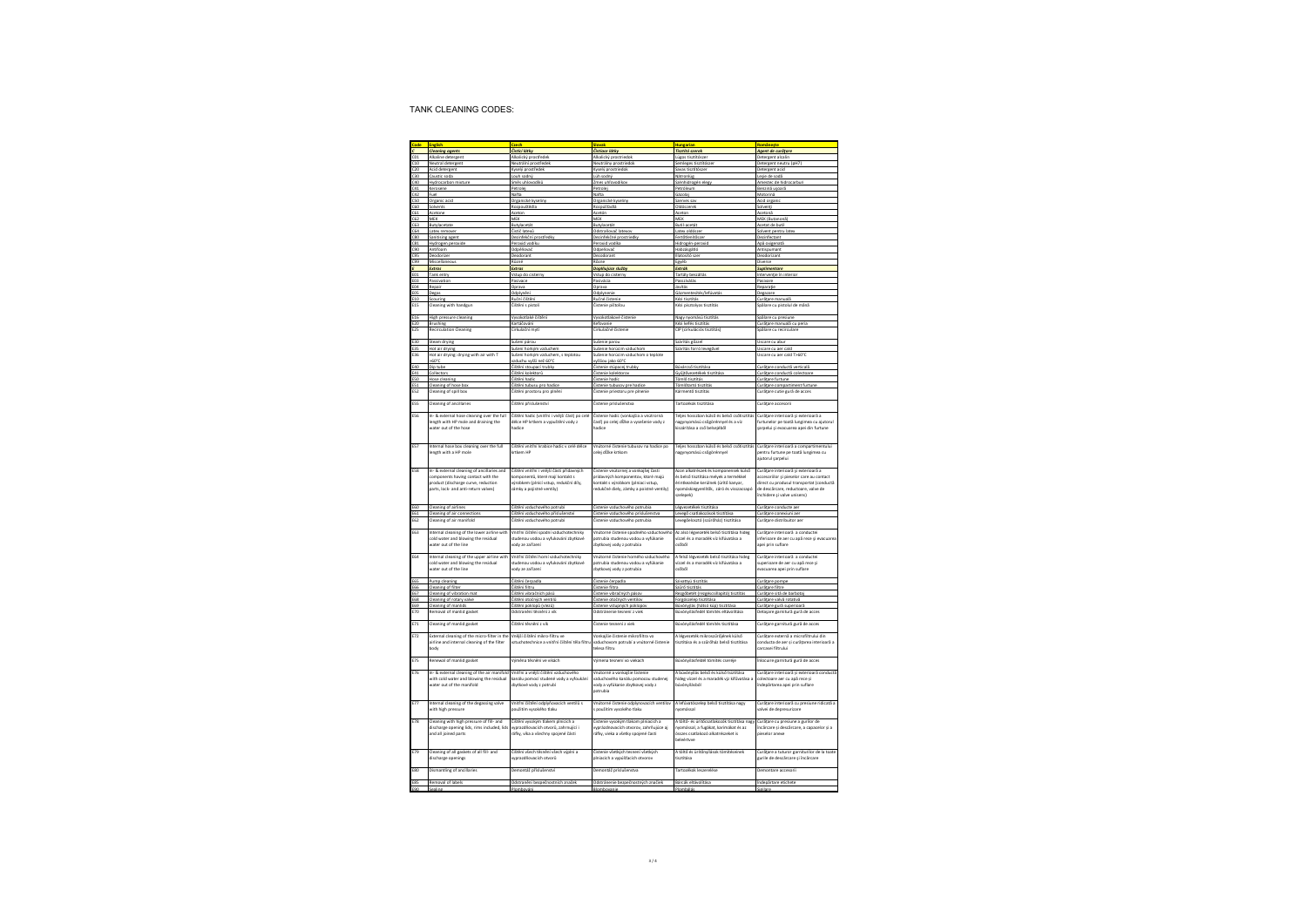|                   | <b>Cleaning agents</b>                                                      | Čistící látky                                                                | Čistlace látky                                                                 | lungarian<br>Tisztító szerek                                                      | omânește<br>Agent de curățare                                                   |
|-------------------|-----------------------------------------------------------------------------|------------------------------------------------------------------------------|--------------------------------------------------------------------------------|-----------------------------------------------------------------------------------|---------------------------------------------------------------------------------|
|                   | Alkaline detergent                                                          | Alkalický prostředek                                                         | Alkalický prostriedol                                                          | Lúgos tisztítósze                                                                 | Detergent alcalin                                                               |
| 10                | Neutral detergent                                                           | Neutrální nrostředek                                                         | Neutrálny prostriedok                                                          | Semieges tisztítósze                                                              | Detergent neutru (pH7)                                                          |
|                   | Acid detergent                                                              | Kyselý prastřede                                                             | Kyselý prostriedi                                                              | Savas tisztítósz                                                                  | Detergent acid                                                                  |
| -30               | Caustic soda                                                                | Louh sodný                                                                   | Lúh sodný                                                                      | Nátronlúg                                                                         | Leșie de sodă                                                                   |
| 40                | Hydrocarbon mixture                                                         | Směs uhlovodíků                                                              | Zmes uhľovodikov                                                               | Szénhidrogén elegy                                                                | Amestec de hidrocarburi                                                         |
| 541<br>542        | Kerosene<br>Fuel                                                            | Petrolei<br>Nafta                                                            | Petrolei<br>Nafta                                                              | Petróleum                                                                         | Benzină usoară                                                                  |
| sn.               | Organic acid                                                                | Organické kvselin                                                            | Oreanické kyseliny                                                             | Gázola<br>Szerves sa                                                              | Motorinā<br>Acid organi                                                         |
| C60               | Solvents                                                                    | Rozpouštědla                                                                 | Rozpúšťadlá                                                                    | Oldószerek                                                                        | Solventi                                                                        |
| 51                | Acetone                                                                     | Acetor                                                                       | Acetór                                                                         | Acetor                                                                            | Acetonă                                                                         |
| C62               | MEK                                                                         | MEK                                                                          | MEK                                                                            | MEK                                                                               | MEK (Butanonă                                                                   |
| C63<br><b>FR4</b> | Butylacetate                                                                | Butylacetát<br>Čistič latexů                                                 | Butylacetát                                                                    | <b>Butil-acetát</b>                                                               | Acetat de butil                                                                 |
| rsn               | Latex remover<br>Sanitising agent                                           | Dezinfekční prostředky                                                       | Odstraňovač latexov<br>Dezinfekčné prostriedky                                 | Latex oldószer<br>Fertőtlenítősze                                                 | Solvent pentru late:<br>Dezinfectant                                            |
| $_{31}$           | Hydrozen peroxidi                                                           | Peroxid vodíku                                                               | Peroxid vodika                                                                 | Hidrozén-peraxio                                                                  | Apă oxigenati                                                                   |
| c90               | Antifoam                                                                    | Odpěňovač                                                                    | Odpeňovač                                                                      | Habzásgátló                                                                       | Antispumant                                                                     |
| -95               | Deodorizer                                                                  | Deodorant                                                                    | Dezodorant                                                                     | Illatosító sze                                                                    | Deodorizant                                                                     |
|                   | Miscellaneous                                                               | Různé                                                                        | Rôzne                                                                          | Egyéb                                                                             | Diverse                                                                         |
| E01               | Extras                                                                      | Extras                                                                       | Doplňujúce služby                                                              | Extrák                                                                            | Suplimentore                                                                    |
| FN3               | Tank entry<br>Passivation                                                   | Vstup do cisterny<br>Pasivace                                                | Vstup do cisterny<br>Pasivária                                                 | Tartály beszállá<br>Passzíválás                                                   | Intervenție în inter<br>Pasivare                                                |
| EO4               | Repair                                                                      | Oprava                                                                       | Opraya                                                                         | Javitás                                                                           | Reparatie                                                                       |
| EOS               | Degas                                                                       | Odplynění                                                                    | Odplynenie                                                                     | Gázmentesítés/lefúvatá:                                                           | Degazare                                                                        |
| E10               | Scouring                                                                    | Ruční čištěn                                                                 | Ručné čistenk                                                                  | Kézi tisztítás                                                                    | Curățare manuală                                                                |
| :15               | Cleaning with handgun                                                       | Čištění s pistoli                                                            | Čistenie pištoľou                                                              | Kézi pisztolyos tisztítás                                                         | spălare cu pistolul de mână                                                     |
| E16               | High pressure cleaning                                                      | Vysokotlaké čištěn                                                           | Vysokotlakové čistenie                                                         | Nagy nyomású tisztítá:                                                            | Spălare cu presiune                                                             |
| E20               | Brushing                                                                    | Kartáčování                                                                  | Kefovanie                                                                      | Kézi kefés tisztítás                                                              | Curătare manuală cu peria                                                       |
| E25               | Recirculation Cleaning                                                      | Cirkulační myt                                                               | Cirkulačné čistenie                                                            | CIP (cirkulációs tisztítás)                                                       | Spălare cu recirculare                                                          |
|                   |                                                                             |                                                                              |                                                                                |                                                                                   |                                                                                 |
| E30               | Steam drying                                                                | Sušení párou                                                                 | Sušenie parou                                                                  | Szárítás gőzzel                                                                   | Uscare cu abu                                                                   |
| 35                | Hot air drying                                                              | Sušení horkým vzduchen                                                       | Sušenie horúcim vzduchom                                                       | Szárítás forró levegő                                                             | Uscare cu aer cald<br>Uscare cu aer cald T>60°C                                 |
| E36               | Hot air drying: drying with air with T<br>>60°C                             | Sušení horkým vzduchem, s teolotou<br>zduchu wśśi neż 60°C                   | Sušenie horúcim vzduchom o teplote<br>wššiou jako 60°C                         |                                                                                   |                                                                                 |
| E40               | Dip tube                                                                    | Čištění stoupací trubky                                                      | Čistenie stúpacej trubky                                                       | Búvárcső tisztítása                                                               | Curătare conductă verticală                                                     |
| E41               | Collectors                                                                  | Čištění kolektorů                                                            | Čistenie kolektorov                                                            | Gyűjtővezetékek tisztítás                                                         | Curățare conductă colectoare                                                    |
| ESO               | Hose cleaning                                                               | Číštění hadic                                                                | Čistenie hadíc                                                                 | ömlő tisztítás                                                                    | Curățare furtune                                                                |
| ES1               | Cleaning of hose box                                                        | Čištění tubusu pro hadice                                                    | Čistenie tubusov pre hadice                                                    | Tömlőtartó tisztítás                                                              | Curățare compartiment furtune                                                   |
| ES <sub>2</sub>   | Cleaning of spill box                                                       | Čištění prostoru pro plnění                                                  | Čistenie priestoru pre plnenie                                                 | Kármentő tisztítás                                                                | Curățare cutie gură de acces                                                    |
| ESS               | Cleaning of ancillaries                                                     | Čištění příslušenství                                                        | Östenie prislušenstva                                                          | Tartozékok tisztítása                                                             | Curățare accesorii                                                              |
|                   |                                                                             |                                                                              |                                                                                |                                                                                   |                                                                                 |
| <b>ES6</b>        | In- & external hose cleaning over the full                                  | Čištění hadic (vnitřní i vnější část) po celé                                | Čistenie hadíc (vonkajšia a vnútrorná                                          | Telies hosszban külső és belső csőtisztítás                                       | Curățare interioară și exterioară a                                             |
|                   | length with HP mole and draining the                                        | délce HP krtkem a vypuštění vody z                                           | časť) po celej dĺžke a vysešenie vody z                                        | nagynyomású csőgörénnyel és a víz                                                 | furtunelor pe toată lungimea cu ajutorul                                        |
|                   | water out of the hose                                                       | hadire                                                                       | hadice                                                                         | kiszárítása a cső belseléből                                                      | şarpelui și evacuarea apei din furtune                                          |
|                   |                                                                             |                                                                              |                                                                                |                                                                                   |                                                                                 |
| ES7               | Internal hose box cleaning over the full                                    | Číštění vnitřní krabice hadic v celé délce                                   | Vnútorné čistenie tubusov na hadice po                                         | Teljes hosszban külső és belső csőtisztítás                                       | Curățare interioară a compartimentului                                          |
|                   | length with a HP mole                                                       | krtkem HP                                                                    | celei dĺžke krtkom                                                             | agynyomású csőgörénnyel                                                           | pentru furtune pe toată lungimea cu                                             |
|                   |                                                                             |                                                                              |                                                                                |                                                                                   | ajutorul şarpelui                                                               |
|                   |                                                                             |                                                                              |                                                                                |                                                                                   |                                                                                 |
| <b>ES8</b>        | In- & external cleaning of ancillaries and                                  | Číštění vnitřní i vnější části přídavných                                    | Čistenie vnútornej a vonkajšej časti                                           | Azon alkatrészek és komponensek külső                                             | .<br>Curățare interioară și exterioară a                                        |
|                   | components having contact with the                                          | komponentů, které mají kontakt s                                             | prídavných komponentov, ktoré majú                                             | és belső tisztítása melyek a termékkel                                            | accesoriilor și pieselor care au contact                                        |
|                   | product (discharge curve, reduction<br>parts, lock- and anti-return valves) | výrobkem (plnící vstup, redukční díly,<br>zámky a polistné ventíly)          | kontakt s výrobkom (plniaci vstup,<br>redukčné diely, zámky a poistné ventily) | érintkezésbe kerülnek (ürítő kanyar,<br>nyomáskiegyenlítők, záró és visszacsapó   | direct cu produsul transportat (conductă<br>de descărcare, reductoare, valve de |
|                   |                                                                             |                                                                              |                                                                                | szelepek)                                                                         | închidere și valve unisens)                                                     |
|                   |                                                                             |                                                                              |                                                                                |                                                                                   |                                                                                 |
| E60               | Cleaning of airlines                                                        | Čištění vzduchového potrubí                                                  | Čistenie vzduchového potrubia                                                  | Lézvezetékek tisztítása                                                           | Curătare conducte aer                                                           |
| E61               | Cleaning of air connection                                                  | tištění vzduchového příslušen                                                | Čistenie vzduchového príslušenst                                               | Levegő csatlakozások tisztítása                                                   | Curățare conexiuni ae                                                           |
| <b>E62</b>        | Cleaning of air manifold                                                    | Čištění vzduchového potrubí                                                  | Čistenie vzduchového potrubia                                                  | Levegőelosztó (szűrőház) tisztítása                                               | Curățare distribuitor aer                                                       |
| <b>F63</b>        | Internal cleaning of the lower airline with                                 | Vnitřní čištění spodní vzduchotechniky                                       | Vnútorné čistenie spodného vzduchového                                         | Az alsó légyezeték belső tisztítása hideg                                         | Curătare interioară a conductei                                                 |
|                   | cold water and blowing the residual                                         | studenou vodou a vyfukování zbytkové                                         | potrubia studenou vodou a wfúkanie                                             | vízzel és a maradék víz kifúvatása a                                              | inferioare de aer cu apă rece și evacuarea                                      |
|                   | water out of the line                                                       | rody ze zařízení                                                             | zbytkovej vody z potrubia                                                      | csőből                                                                            | apei prin suflare                                                               |
|                   |                                                                             |                                                                              |                                                                                |                                                                                   |                                                                                 |
| FRA               | Internal cleaning of the upper airline with                                 | Vnitřní čištění horní vzduchotechniky<br>studenou vodou a wfukování zbytkové | Voútorné čistenie borného vzduchového                                          | A felső légvezeték belső tisztítása hideg<br>vízzel és a maradék víz kifúvatása a | Curătare interioară a conductei                                                 |
|                   | cold water and blowing the residual<br>water out of the line                | vody ze zařízení                                                             | potrubia studenou vodou a wríúkanie<br>zbytkovej vody z potrubia               | csőből                                                                            | superioare de aer cu apă rece si<br>evacuarea apei prin suflare                 |
|                   |                                                                             |                                                                              |                                                                                |                                                                                   |                                                                                 |
| E6S               | Pump cleaning                                                               | Čištění čerpadla                                                             | Čistenie čerpadla                                                              | Szivattyú tisztítás                                                               | Curățare pompe                                                                  |
| E66               | Cleaning of filter                                                          | Čištění filtru                                                               | Čistenie filtra                                                                | Szűrő tisztítás                                                                   | Curățare filtre                                                                 |
| E67               | Cleaning of vibration mat                                                   | Čištění vibračních pásů                                                      | Čistenie vibračných pásov                                                      | Rezeőbetét (rezeéscsillapító) tisztítá:                                           | Curătare sită de barbotai                                                       |
| E68               | Cleaning of rotary valve                                                    | Čištění otočných ventilů                                                     | Čistenie otočných ventilov                                                     | Forgószelep tisztítása                                                            | Curățare valvă rotativă                                                         |
| E69<br>E70        | Cleaning of manlids<br>Removal of manlid gasket                             | Čištění poklopů (vlezů)<br>Odstranění těsnění z vík                          | Čistenie vstupných poklopov<br>Odstránenie tesnení z viek                      | Búvónyjlás (hátsó kúp) tisztítása<br>Búvónyílásfedél tömítés eltávolitása         | Curățare gură superioară<br>Detașare garnitură gură de acces                    |
|                   |                                                                             |                                                                              |                                                                                |                                                                                   |                                                                                 |
| E71               | Cleaning of manlid gasket                                                   | Čištění těsnění z vík                                                        | Čistenie tesnení z viek                                                        | Búvónyílásfedél tömítés tisztítása                                                | Curățare garnitură gură de acces                                                |
|                   |                                                                             |                                                                              |                                                                                |                                                                                   |                                                                                 |
| F77               | External cleaning of the micro-filter in the                                | Vněiší čištění mikro-filtru ve                                               | Vonkaišie čistenie mikrofiltra vo                                              | A légyezeték mikroszűrőjének külső                                                | Curătare externă a microfiltrului din                                           |
|                   | airline and internal cleaning of the filter<br>body                         | vztuchotechnice a vnitřní čištění těla filtru                                | vzduchovom potrubí a vnútorné čistenie<br>telesa filtru                        | tisztítása és a szűrőház belső tisztítása                                         | conducta de aer și curățarea interioară a<br>carcasei filtrului                 |
|                   |                                                                             |                                                                              |                                                                                |                                                                                   |                                                                                 |
| F75               | Renewal of manlid gasket                                                    | Výměna těsnění ve víkách                                                     | Výmena tesnení vo viekach                                                      | Búvónyílásfeldél tömítés cseréje                                                  | Înlocuire garnitură gură de acces                                               |
|                   |                                                                             |                                                                              |                                                                                |                                                                                   |                                                                                 |
| E76               | In- & external cleaning of the air manifold                                 | Vnitřní a vnější čištění vzduchového                                         | Vnútorné a vonkajšie šistenie                                                  | A búvónyílás belső és külső tsiztítása                                            | Curățare interioară și exterioară conductă                                      |
|                   | with cold water and blowing the residual                                    | kanálu pomocí studené vody a vyfoukání                                       | vzduchového kanálu pomocou studenej                                            | ildeg vízzel és a maradék vjz kifűvatása :                                        | colectoare aer cu apă rece și                                                   |
|                   | water out of the manifold                                                   | zbytkové vody z potrubí                                                      | vody a vyfúkanie zbytkovej vody z                                              | lödzölivnövéd                                                                     | indepărtarea apei prin suflare                                                  |
|                   |                                                                             |                                                                              | potrubia                                                                       |                                                                                   |                                                                                 |
| E77               | Internal cleaning of the degassing valve                                    | Vnitřní čištění odplyňovacích ventilů s                                      | Vnútorné čistenie odplynovacích ventilov                                       | A lefúvatószelep belső tisztítása nagy                                            | Curățare interioară cu presiune ridicată a                                      |
|                   | with high pressure                                                          | použitím vysokého tlaku                                                      | s použitím vysokého tlaku                                                      | nyomással                                                                         | valvei de depresurizare                                                         |
|                   |                                                                             |                                                                              |                                                                                |                                                                                   |                                                                                 |
| E78               | Cleaning with high pressure of fill- and                                    | Čištění vysokým tlakem plnících a                                            | Čistenie vysokým tlakom plniacích a                                            | A töltő- és ürítőcsatlakozók tisztítása nagy                                      | Curățare cu presiune a gurilor de                                               |
|                   | discharge opening lids, rims included, lids                                 | vyprazdňovacích otvorů, zahrnující i                                         | worázdnovacích otvorov, zahrňujúce aj                                          | nvomással, a fugákat, karimákat és az                                             | încărcare și descărcare, a capacelor și a                                       |
|                   | and all joined parts                                                        | ráfky, víka a všechny spolené části                                          | ráfky, vieka a všetky spolené časti                                            | összes csatlakozó alkatrészeket is<br>beleértvve                                  | nieselnr anexe                                                                  |
|                   |                                                                             |                                                                              |                                                                                |                                                                                   |                                                                                 |
| E79               | Cleaning of all gaskets of all fill- and                                    | Číštění všech těsnění všech výplní a                                         | Čistenie všetkých tesnení všetkých                                             | A töltő és ürítőnyílások tömítéseinek                                             | Curățare a tuturor garniturilor de la toate                                     |
|                   | discharge openings                                                          | wnrazdňovacích otvorů                                                        | plniacich a vypúšťacích otvorov                                                | ticritáca                                                                         | gurile de descărcare și încărcare                                               |
|                   |                                                                             |                                                                              |                                                                                |                                                                                   |                                                                                 |
| E80               | Dismantling of ancillaries                                                  | Demontáž příslušenství                                                       | Demontáž príslušenstva                                                         | Tartozékok leszerelése                                                            | Demontare accesorii                                                             |
|                   |                                                                             |                                                                              |                                                                                | Bárcák eltávolítása                                                               |                                                                                 |
| E85               | Removal of labels                                                           | Odstranění bezpečnostních značek                                             | Odstránenie bezpečnostných značiek                                             |                                                                                   | Îndepărtare etichete                                                            |